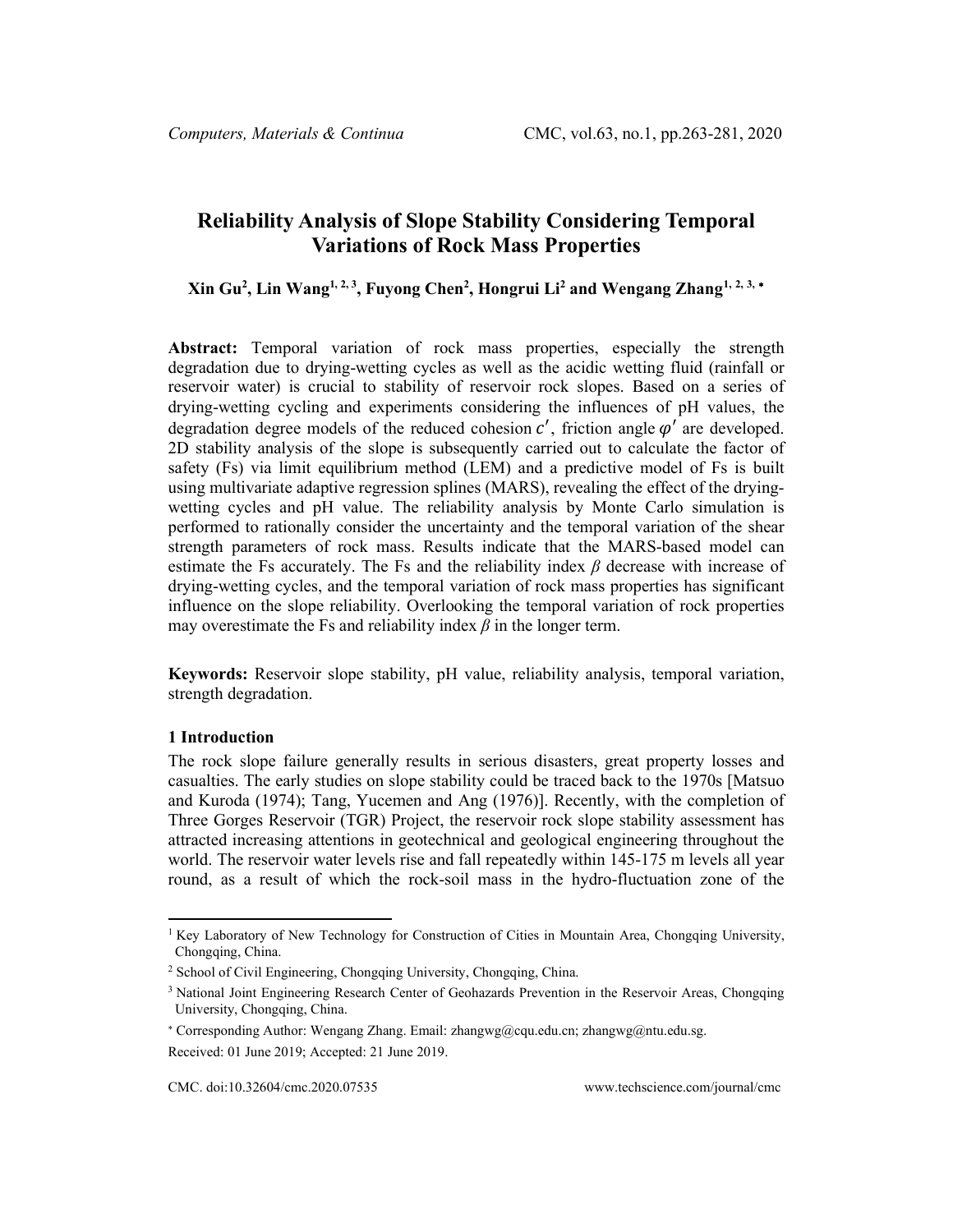# **Reliability Analysis of Slope Stability Considering Temporal Variations of Rock Mass Properties**

**Xin Gu2 , Lin Wang1, 2, 3 , Fuyong Chen2 , Hongrui Li2 and Wengang Zhang[1](#page-0-0), [2](#page-0-1), [3](#page-0-2),** [∗](#page-0-3)

**Abstract:** Temporal variation of rock mass properties, especially the strength degradation due to drying-wetting cycles as well as the acidic wetting fluid (rainfall or reservoir water) is crucial to stability of reservoir rock slopes. Based on a series of drying-wetting cycling and experiments considering the influences of pH values, the degradation degree models of the reduced cohesion  $c'$ , friction angle  $\varphi'$  are developed. 2D stability analysis of the slope is subsequently carried out to calculate the factor of safety (Fs) via limit equilibrium method (LEM) and a predictive model of Fs is built using multivariate adaptive regression splines (MARS), revealing the effect of the dryingwetting cycles and pH value. The reliability analysis by Monte Carlo simulation is performed to rationally consider the uncertainty and the temporal variation of the shear strength parameters of rock mass. Results indicate that the MARS-based model can estimate the Fs accurately. The Fs and the reliability index *β* decrease with increase of drying-wetting cycles, and the temporal variation of rock mass properties has significant influence on the slope reliability. Overlooking the temporal variation of rock properties may overestimate the Fs and reliability index  $\beta$  in the longer term.

**Keywords:** Reservoir slope stability, pH value, reliability analysis, temporal variation, strength degradation.

## **1 Introduction**

The rock slope failure generally results in serious disasters, great property losses and casualties. The early studies on slope stability could be traced back to the 1970s [Matsuo and Kuroda (1974); Tang, Yucemen and Ang (1976)]. Recently, with the completion of Three Gorges Reservoir (TGR) Project, the reservoir rock slope stability assessment has attracted increasing attentions in geotechnical and geological engineering throughout the world. The reservoir water levels rise and fall repeatedly within 145-175 m levels all year round, as a result of which the rock-soil mass in the hydro-fluctuation zone of the

<span id="page-0-0"></span><sup>&</sup>lt;sup>1</sup> Key Laboratory of New Technology for Construction of Cities in Mountain Area, Chongqing University, Chongqing, China.

<span id="page-0-1"></span><sup>2</sup> School of Civil Engineering, Chongqing University, Chongqing, China.

<span id="page-0-2"></span><sup>&</sup>lt;sup>3</sup> National Joint Engineering Research Center of Geohazards Prevention in the Reservoir Areas, Chongqing University, Chongqing, China.

<span id="page-0-3"></span><sup>∗</sup> Corresponding Author: Wengang Zhang. Email: zhangwg@cqu.edu.cn; zhangwg@ntu.edu.sg. Received: 01 June 2019; Accepted: 21 June 2019.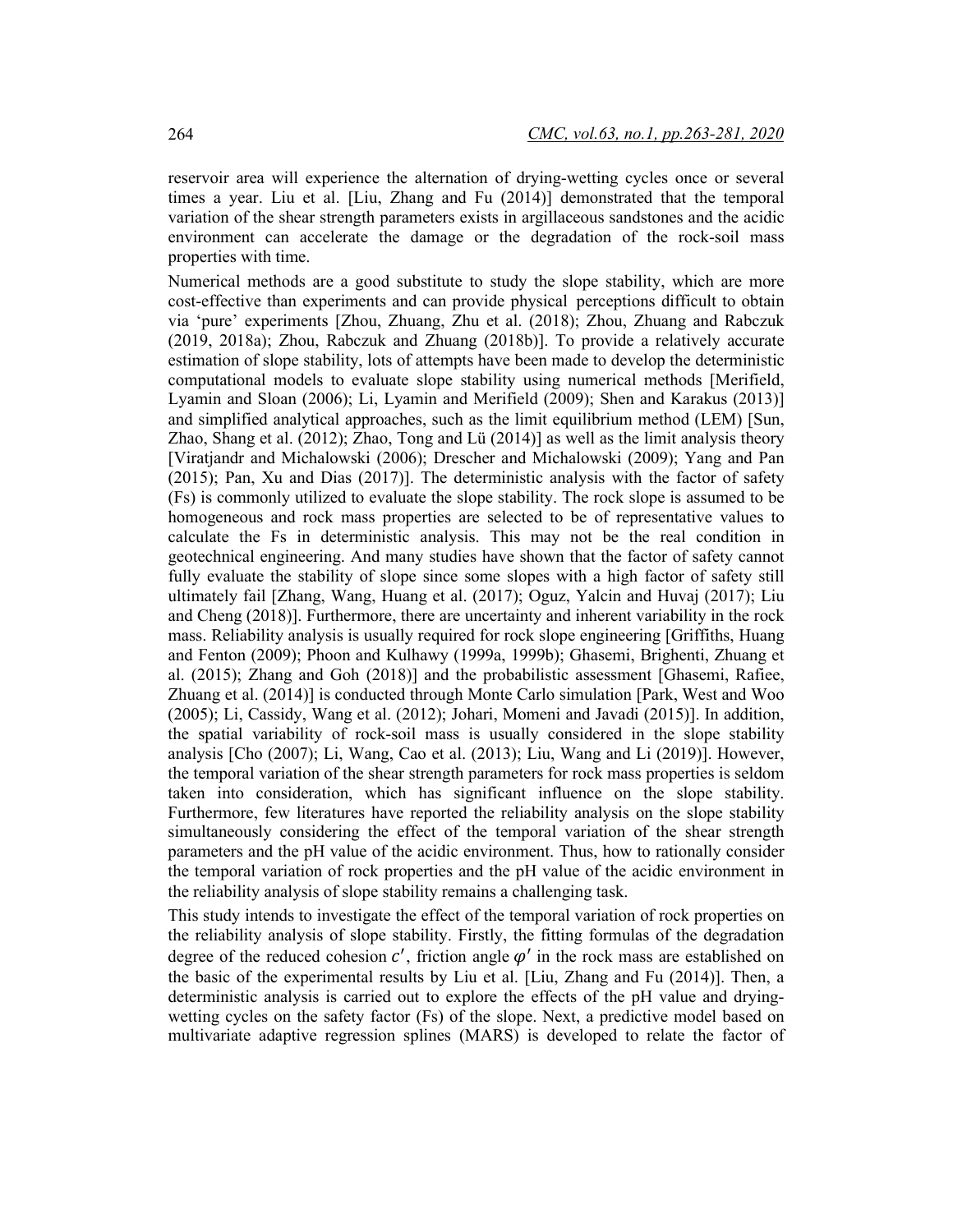reservoir area will experience the alternation of drying-wetting cycles once or several times a year. Liu et al. [Liu, Zhang and Fu (2014)] demonstrated that the temporal variation of the shear strength parameters exists in argillaceous sandstones and the acidic environment can accelerate the damage or the degradation of the rock-soil mass properties with time.

Numerical methods are a good substitute to study the slope stability, which are more cost-effective than experiments and can provide physical perceptions difficult to obtain via 'pure' experiments [Zhou, Zhuang, Zhu et al. (2018); Zhou, Zhuang and Rabczuk (2019, 2018a); Zhou, Rabczuk and Zhuang (2018b)]. To provide a relatively accurate estimation of slope stability, lots of attempts have been made to develop the deterministic computational models to evaluate slope stability using numerical methods [Merifield, Lyamin and Sloan (2006); Li, Lyamin and Merifield (2009); Shen and Karakus (2013)] and simplified analytical approaches, such as the limit equilibrium method (LEM) [Sun, Zhao, Shang et al. (2012); Zhao, Tong and Lü (2014)] as well as the limit analysis theory [Viratjandr and Michalowski (2006); Drescher and Michalowski (2009); Yang and Pan (2015); Pan, Xu and Dias (2017)]. The deterministic analysis with the factor of safety (Fs) is commonly utilized to evaluate the slope stability. The rock slope is assumed to be homogeneous and rock mass properties are selected to be of representative values to calculate the Fs in deterministic analysis. This may not be the real condition in geotechnical engineering. And many studies have shown that the factor of safety cannot fully evaluate the stability of slope since some slopes with a high factor of safety still ultimately fail [Zhang, Wang, Huang et al. (2017); Oguz, Yalcin and Huvaj (2017); Liu and Cheng (2018)]. Furthermore, there are uncertainty and inherent variability in the rock mass. Reliability analysis is usually required for rock slope engineering [Griffiths, Huang and Fenton (2009); Phoon and Kulhawy (1999a, 1999b); Ghasemi, Brighenti, Zhuang et al. (2015); Zhang and Goh (2018)] and the probabilistic assessment [Ghasemi, Rafiee, Zhuang et al. (2014)] is conducted through Monte Carlo simulation [Park, West and Woo (2005); Li, Cassidy, Wang et al. (2012); Johari, Momeni and Javadi (2015)]. In addition, the spatial variability of rock-soil mass is usually considered in the slope stability analysis [Cho (2007); Li, Wang, Cao et al. (2013); Liu, Wang and Li (2019)]. However, the temporal variation of the shear strength parameters for rock mass properties is seldom taken into consideration, which has significant influence on the slope stability. Furthermore, few literatures have reported the reliability analysis on the slope stability simultaneously considering the effect of the temporal variation of the shear strength parameters and the pH value of the acidic environment. Thus, how to rationally consider the temporal variation of rock properties and the pH value of the acidic environment in the reliability analysis of slope stability remains a challenging task.

This study intends to investigate the effect of the temporal variation of rock properties on the reliability analysis of slope stability. Firstly, the fitting formulas of the degradation degree of the reduced cohesion  $c'$ , friction angle  $\varphi'$  in the rock mass are established on the basic of the experimental results by Liu et al. [Liu, Zhang and Fu (2014)]. Then, a deterministic analysis is carried out to explore the effects of the pH value and dryingwetting cycles on the safety factor (Fs) of the slope. Next, a predictive model based on multivariate adaptive regression splines (MARS) is developed to relate the factor of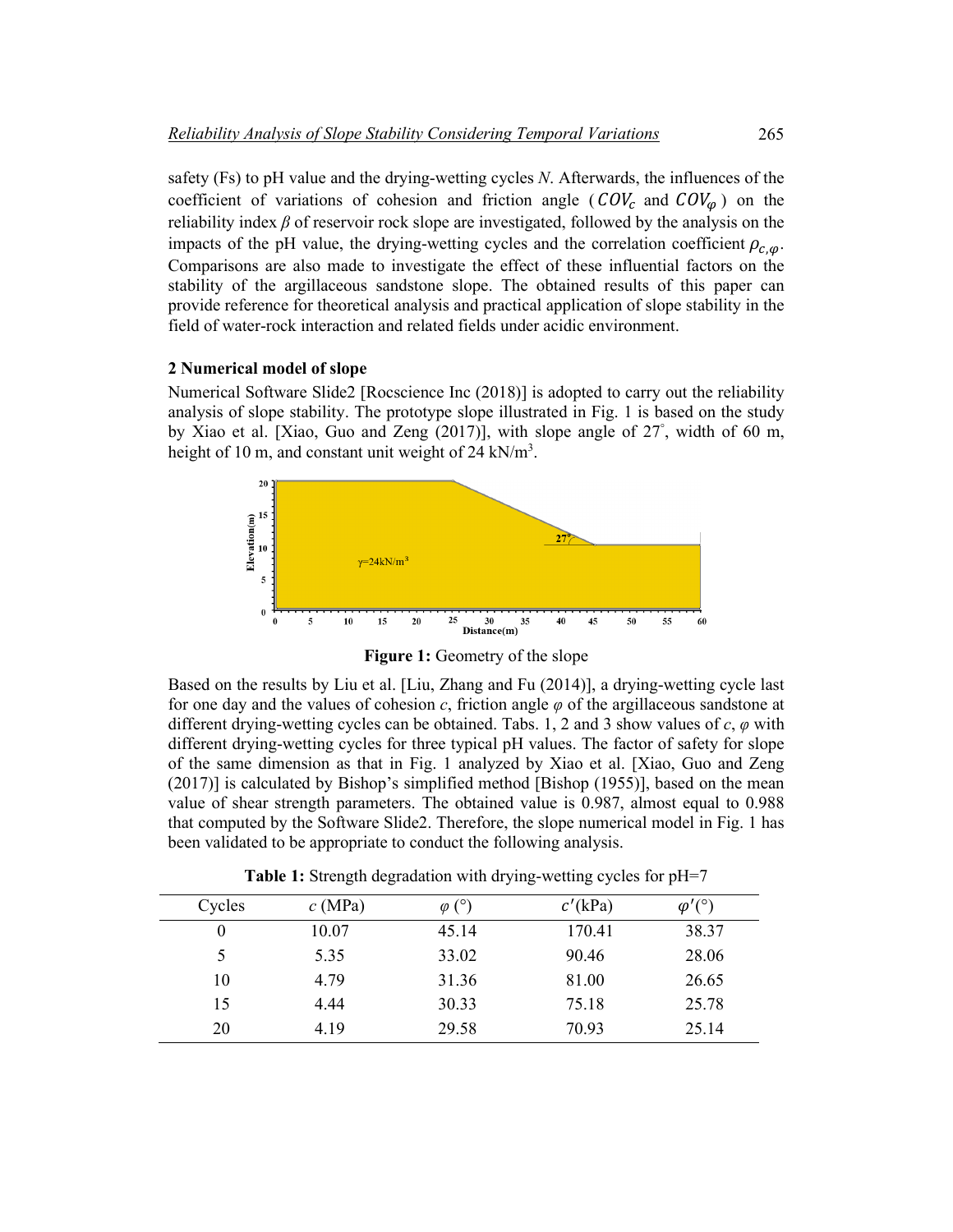safety (Fs) to pH value and the drying-wetting cycles *N*. Afterwards, the influences of the coefficient of variations of cohesion and friction angle ( $COV_c$  and  $COV_\omega$ ) on the reliability index *β* of reservoir rock slope are investigated, followed by the analysis on the impacts of the pH value, the drying-wetting cycles and the correlation coefficient  $\rho_{c,\omega}$ . Comparisons are also made to investigate the effect of these influential factors on the stability of the argillaceous sandstone slope. The obtained results of this paper can provide reference for theoretical analysis and practical application of slope stability in the field of water-rock interaction and related fields under acidic environment.

# **2 Numerical model of slope**

Numerical Software Slide2 [Rocscience Inc (2018)] is adopted to carry out the reliability analysis of slope stability. The prototype slope illustrated in Fig. 1 is based on the study by Xiao et al. [Xiao, Guo and Zeng (2017)], with slope angle of 27° , width of 60 m, height of 10 m, and constant unit weight of 24 kN/m<sup>3</sup>.



**Figure 1:** Geometry of the slope

Based on the results by Liu et al. [Liu, Zhang and Fu (2014)], a drying-wetting cycle last for one day and the values of cohesion *c*, friction angle *φ* of the argillaceous sandstone at different drying-wetting cycles can be obtained. Tabs. 1, 2 and 3 show values of *c*, *φ* with different drying-wetting cycles for three typical pH values. The factor of safety for slope of the same dimension as that in Fig. 1 analyzed by Xiao et al. [Xiao, Guo and Zeng (2017)] is calculated by Bishop's simplified method [Bishop (1955)], based on the mean value of shear strength parameters. The obtained value is 0.987, almost equal to 0.988 that computed by the Software Slide2. Therefore, the slope numerical model in Fig. 1 has been validated to be appropriate to conduct the following analysis.

| Table 1: Strength degradation with drying-wetting cycles for pH=7 |  |  |  |
|-------------------------------------------------------------------|--|--|--|
|-------------------------------------------------------------------|--|--|--|

| Cycles   | c(MPa) | $\varphi$ (°) | $c'$ (kPa) | $\varphi'$ <sup><math>\curvearrowright</math></sup> |
|----------|--------|---------------|------------|-----------------------------------------------------|
| $\theta$ | 10.07  | 45.14         | 170.41     | 38.37                                               |
|          | 5.35   | 33.02         | 90.46      | 28.06                                               |
| 10       | 4.79   | 31.36         | 81.00      | 26.65                                               |
| 15       | 4.44   | 30.33         | 75.18      | 25.78                                               |
| 20       | 4.19   | 29.58         | 70.93      | 25.14                                               |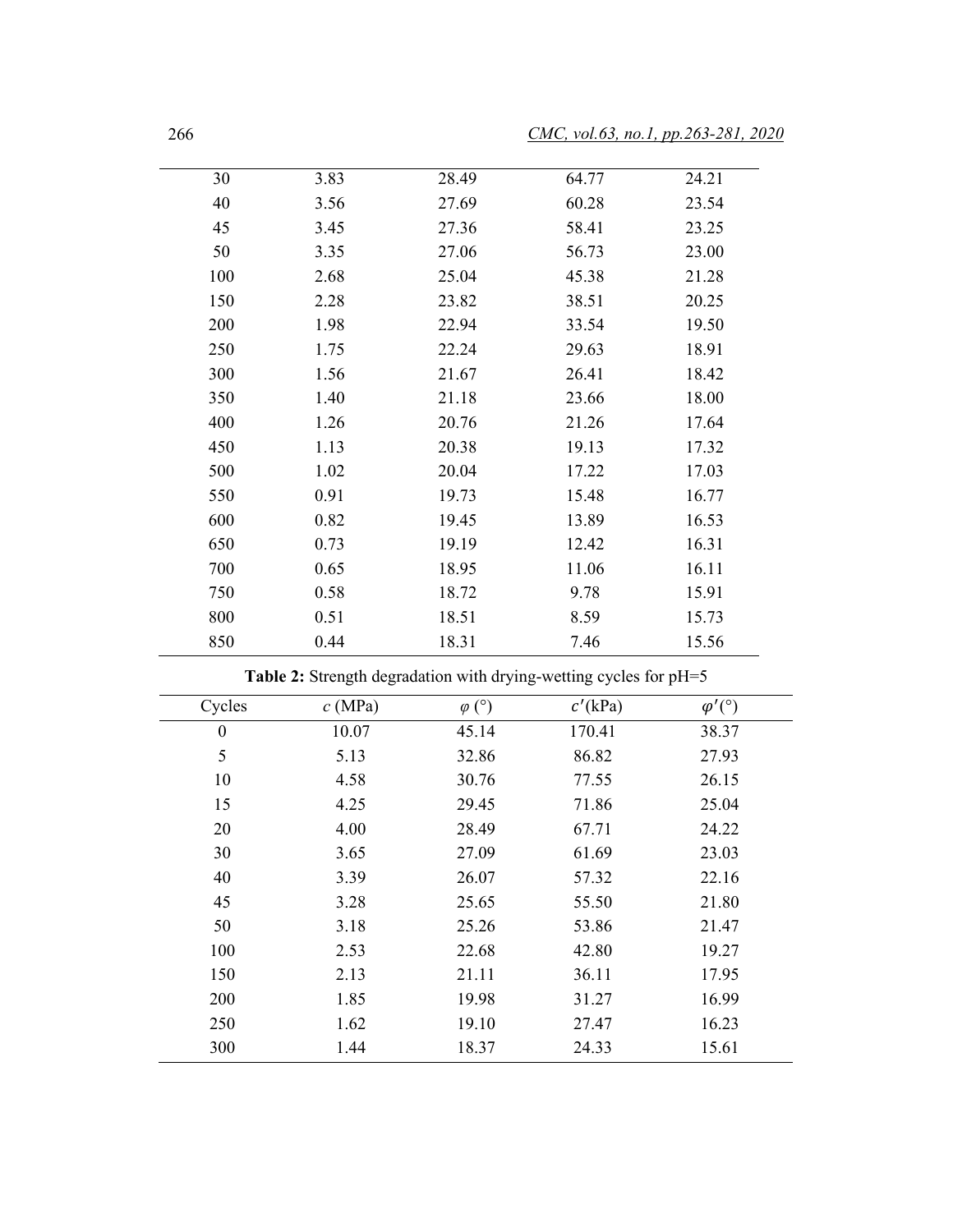| 30  | 3.83 | 28.49 | 64.77 | 24.21 |
|-----|------|-------|-------|-------|
| 40  | 3.56 | 27.69 | 60.28 | 23.54 |
| 45  | 3.45 | 27.36 | 58.41 | 23.25 |
| 50  | 3.35 | 27.06 | 56.73 | 23.00 |
| 100 | 2.68 | 25.04 | 45.38 | 21.28 |
| 150 | 2.28 | 23.82 | 38.51 | 20.25 |
| 200 | 1.98 | 22.94 | 33.54 | 19.50 |
| 250 | 1.75 | 22.24 | 29.63 | 18.91 |
| 300 | 1.56 | 21.67 | 26.41 | 18.42 |
| 350 | 1.40 | 21.18 | 23.66 | 18.00 |
| 400 | 1.26 | 20.76 | 21.26 | 17.64 |
| 450 | 1.13 | 20.38 | 19.13 | 17.32 |
| 500 | 1.02 | 20.04 | 17.22 | 17.03 |
| 550 | 0.91 | 19.73 | 15.48 | 16.77 |
| 600 | 0.82 | 19.45 | 13.89 | 16.53 |
| 650 | 0.73 | 19.19 | 12.42 | 16.31 |
| 700 | 0.65 | 18.95 | 11.06 | 16.11 |
| 750 | 0.58 | 18.72 | 9.78  | 15.91 |
| 800 | 0.51 | 18.51 | 8.59  | 15.73 |
| 850 | 0.44 | 18.31 | 7.46  | 15.56 |

**Table 2:** Strength degradation with drying-wetting cycles for pH=5

| Cycles   | c(MPa) | $\varphi$ (°) | $c'$ (kPa) | $\varphi' (^\circ)$ |  |
|----------|--------|---------------|------------|---------------------|--|
| $\theta$ | 10.07  | 45.14         | 170.41     | 38.37               |  |
| 5        | 5.13   | 32.86         | 86.82      | 27.93               |  |
| 10       | 4.58   | 30.76         | 77.55      | 26.15               |  |
| 15       | 4.25   | 29.45         | 71.86      | 25.04               |  |
| 20       | 4.00   | 28.49         | 67.71      | 24.22               |  |
| 30       | 3.65   | 27.09         | 61.69      | 23.03               |  |
| 40       | 3.39   | 26.07         | 57.32      | 22.16               |  |
| 45       | 3.28   | 25.65         | 55.50      | 21.80               |  |
| 50       | 3.18   | 25.26         | 53.86      | 21.47               |  |
| 100      | 2.53   | 22.68         | 42.80      | 19.27               |  |
| 150      | 2.13   | 21.11         | 36.11      | 17.95               |  |
| 200      | 1.85   | 19.98         | 31.27      | 16.99               |  |
| 250      | 1.62   | 19.10         | 27.47      | 16.23               |  |
| 300      | 1.44   | 18.37         | 24.33      | 15.61               |  |

ш,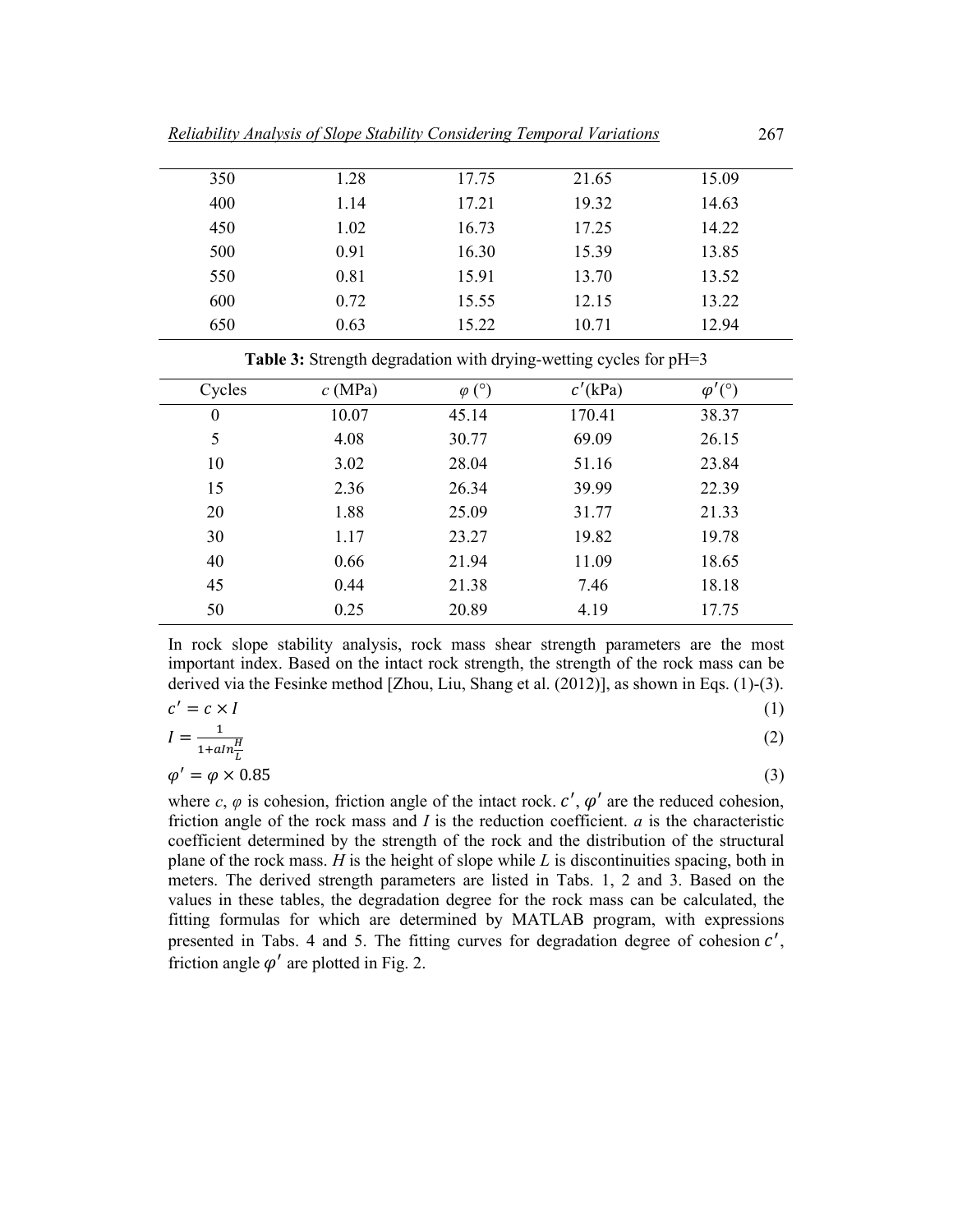| 350 | 1.28 | 17.75 | 21.65 | 15.09 |
|-----|------|-------|-------|-------|
| 400 | 1.14 | 17.21 | 19.32 | 14.63 |
| 450 | 1.02 | 16.73 | 17.25 | 14.22 |
| 500 | 0.91 | 16.30 | 15.39 | 13.85 |
| 550 | 0.81 | 15.91 | 13.70 | 13.52 |
| 600 | 0.72 | 15.55 | 12.15 | 13.22 |
| 650 | 0.63 | 15.22 | 10.71 | 12.94 |
|     |      |       |       |       |

Table 3: Strength degradation with drying-wetting cycles for pH=3

| Cycles           | c(MPa) | $\varphi$ (°) | $c'$ (kPa) | $\varphi'({}^{\circ})$ |
|------------------|--------|---------------|------------|------------------------|
| $\boldsymbol{0}$ | 10.07  | 45.14         | 170.41     | 38.37                  |
| 5                | 4.08   | 30.77         | 69.09      | 26.15                  |
| 10               | 3.02   | 28.04         | 51.16      | 23.84                  |
| 15               | 2.36   | 26.34         | 39.99      | 22.39                  |
| 20               | 1.88   | 25.09         | 31.77      | 21.33                  |
| 30               | 1.17   | 23.27         | 19.82      | 19.78                  |
| 40               | 0.66   | 21.94         | 11.09      | 18.65                  |
| 45               | 0.44   | 21.38         | 7.46       | 18.18                  |
| 50               | 0.25   | 20.89         | 4.19       | 17.75                  |

In rock slope stability analysis, rock mass shear strength parameters are the most important index. Based on the intact rock strength, the strength of the rock mass can be derived via the Fesinke method [Zhou, Liu, Shang et al. (2012)], as shown in Eqs. (1)-(3).

$$
c' = c \times I \tag{1}
$$

$$
I = \frac{1}{1 + a \ln \frac{H}{L}}
$$
 (2)

$$
\varphi' = \varphi \times 0.85\tag{3}
$$

where  $c, \varphi$  is cohesion, friction angle of the intact rock.  $c', \varphi'$  are the reduced cohesion, friction angle of the rock mass and *I* is the reduction coefficient. *a* is the characteristic coefficient determined by the strength of the rock and the distribution of the structural plane of the rock mass. *H* is the height of slope while *L* is discontinuities spacing, both in meters. The derived strength parameters are listed in Tabs. 1, 2 and 3. Based on the values in these tables, the degradation degree for the rock mass can be calculated, the fitting formulas for which are determined by MATLAB program, with expressions presented in Tabs. 4 and 5. The fitting curves for degradation degree of cohesion  $c'$ , friction angle  $\varphi'$  are plotted in Fig. 2.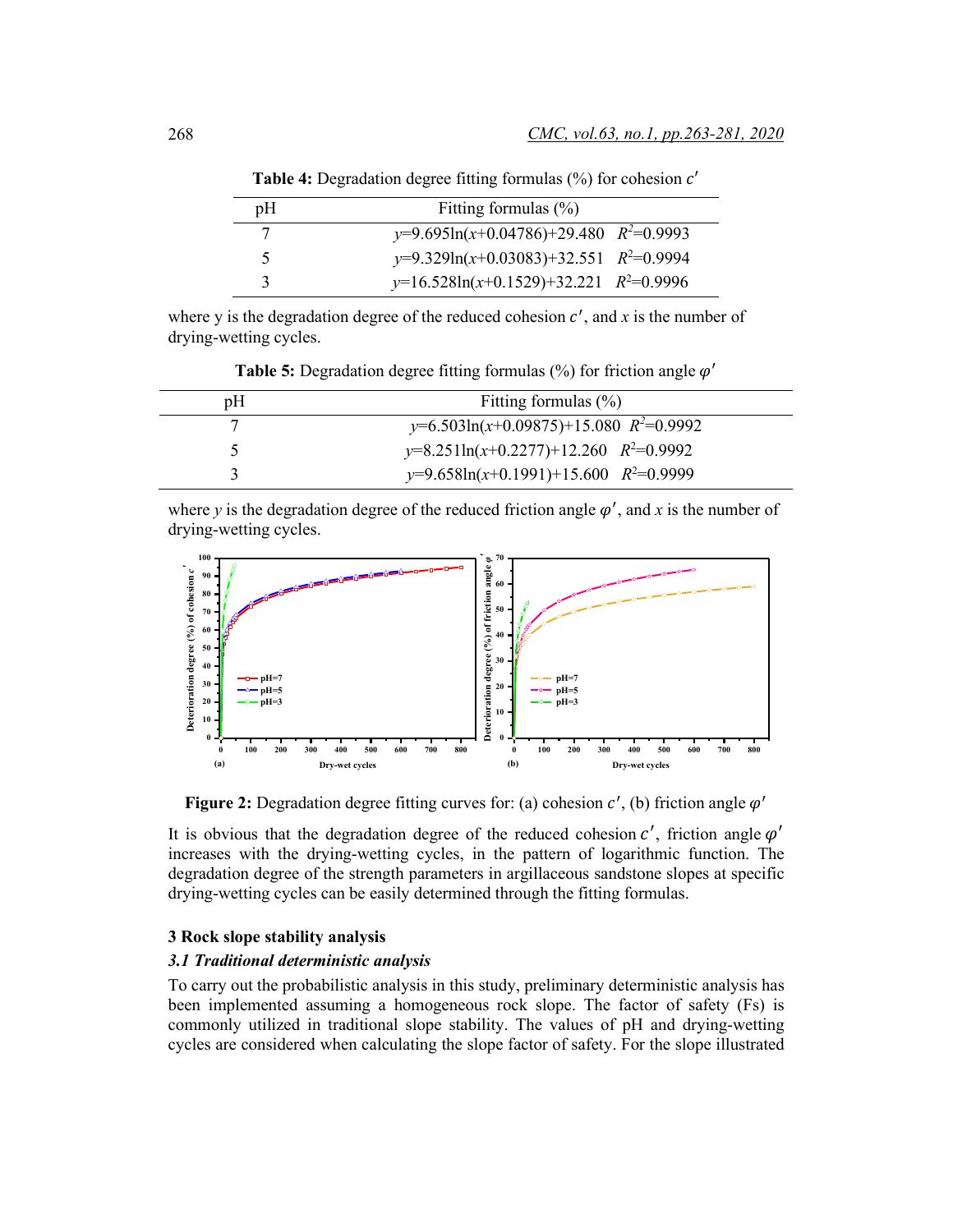| pΗ | Fitting formulas $(\%)$                     |
|----|---------------------------------------------|
|    | $y=9.695\ln(x+0.04786)+29.480$ $R^2=0.9993$ |
|    | $y=9.329\ln(x+0.03083)+32.551$ $R^2=0.9994$ |
|    | $y=16.528\ln(x+0.1529)+32.221$ $R^2=0.9996$ |

**Table 4:** Degradation degree fitting formulas (%) for cohesion  $c'$ 

where y is the degradation degree of the reduced cohesion  $c'$ , and  $x$  is the number of drying-wetting cycles.

| pΗ | Fitting formulas $(\% )$                   |
|----|--------------------------------------------|
|    | $y=6.503\ln(x+0.09875)+15.080 R^2=0.9992$  |
|    | $y=8.251\ln(x+0.2277)+12.260$ $R^2=0.9992$ |
|    | $y=9.658\ln(x+0.1991)+15.600$ $R^2=0.9999$ |

**Table 5:** Degradation degree fitting formulas  $\binom{0}{0}$  for friction angle  $\varphi'$ 

where *y* is the degradation degree of the reduced friction angle  $\varphi'$ , and *x* is the number of drying-wetting cycles.



**Figure 2:** Degradation degree fitting curves for: (a) cohesion  $c'$ , (b) friction angle  $\varphi'$ 

It is obvious that the degradation degree of the reduced cohesion  $c'$ , friction angle  $\varphi'$ increases with the drying-wetting cycles, in the pattern of logarithmic function. The degradation degree of the strength parameters in argillaceous sandstone slopes at specific drying-wetting cycles can be easily determined through the fitting formulas.

# **3 Rock slope stability analysis**

# *3.1 Traditional deterministic analysis*

To carry out the probabilistic analysis in this study, preliminary deterministic analysis has been implemented assuming a homogeneous rock slope. The factor of safety (Fs) is commonly utilized in traditional slope stability. The values of pH and drying-wetting cycles are considered when calculating the slope factor of safety. For the slope illustrated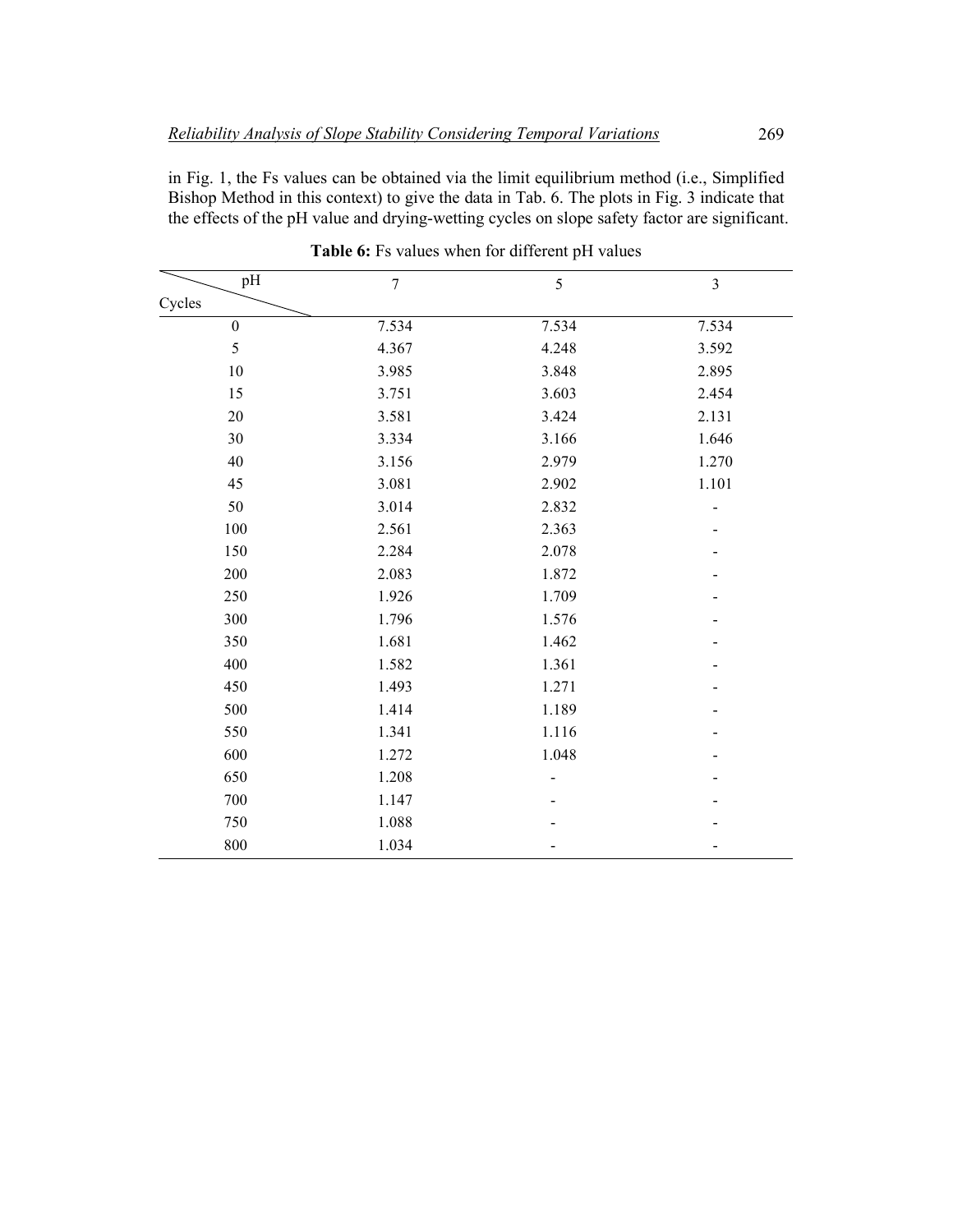in Fig. 1, the Fs values can be obtained via the limit equilibrium method (i.e., Simplified Bishop Method in this context) to give the data in Tab. 6. The plots in Fig. 3 indicate that the effects of the pH value and drying-wetting cycles on slope safety factor are significant.

| pH               | $\boldsymbol{7}$ | $\sqrt{5}$ | $\mathfrak{Z}$ |
|------------------|------------------|------------|----------------|
| Cycles           |                  |            |                |
| $\boldsymbol{0}$ | 7.534            | 7.534      | 7.534          |
| 5                | 4.367            | 4.248      | 3.592          |
| 10               | 3.985            | 3.848      | 2.895          |
| 15               | 3.751            | 3.603      | 2.454          |
| 20               | 3.581            | 3.424      | 2.131          |
| 30               | 3.334            | 3.166      | 1.646          |
| 40               | 3.156            | 2.979      | 1.270          |
| 45               | 3.081            | 2.902      | 1.101          |
| 50               | 3.014            | 2.832      |                |
| 100              | 2.561            | 2.363      |                |
| 150              | 2.284            | 2.078      |                |
| 200              | 2.083            | 1.872      |                |
| 250              | 1.926            | 1.709      |                |
| 300              | 1.796            | 1.576      |                |
| 350              | 1.681            | 1.462      |                |
| 400              | 1.582            | 1.361      |                |
| 450              | 1.493            | 1.271      |                |
| 500              | 1.414            | 1.189      |                |
| 550              | 1.341            | 1.116      |                |
| 600              | 1.272            | 1.048      |                |
| 650              | 1.208            |            |                |
| 700              | 1.147            |            |                |
| 750              | 1.088            |            |                |
| 800              | 1.034            |            |                |

Table 6: Fs values when for different pH values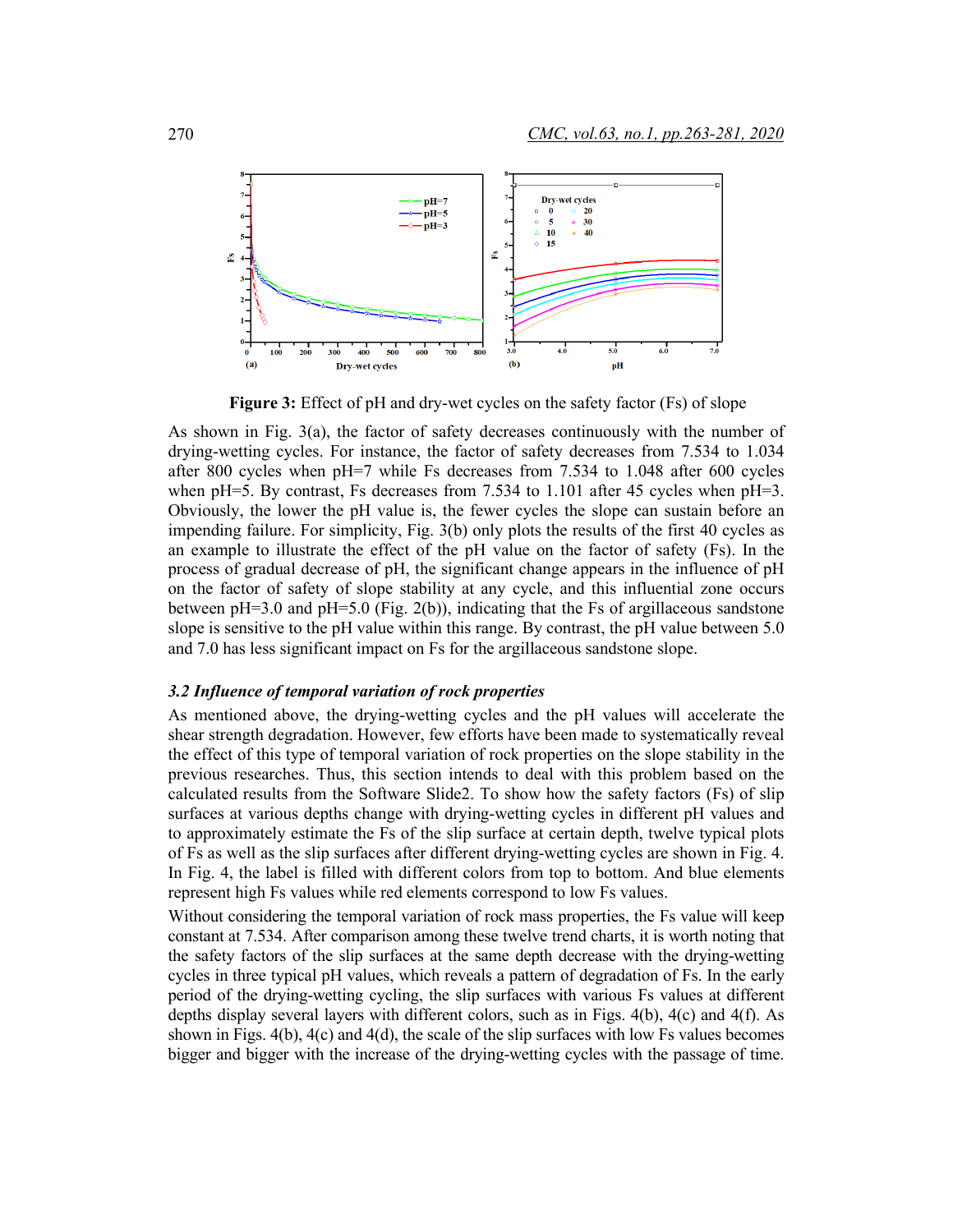

**Figure 3:** Effect of pH and dry-wet cycles on the safety factor (Fs) of slope

As shown in Fig. 3(a), the factor of safety decreases continuously with the number of drying-wetting cycles. For instance, the factor of safety decreases from 7.534 to 1.034 after 800 cycles when pH=7 while Fs decreases from 7.534 to 1.048 after 600 cycles when pH=5. By contrast, Fs decreases from 7.534 to 1.101 after 45 cycles when  $pH=3$ . Obviously, the lower the pH value is, the fewer cycles the slope can sustain before an impending failure. For simplicity, Fig. 3(b) only plots the results of the first 40 cycles as an example to illustrate the effect of the pH value on the factor of safety (Fs). In the process of gradual decrease of pH, the significant change appears in the influence of pH on the factor of safety of slope stability at any cycle, and this influential zone occurs between  $pH=3.0$  and  $pH=5.0$  (Fig. 2(b)), indicating that the Fs of argillaceous sandstone slope is sensitive to the pH value within this range. By contrast, the pH value between 5.0 and 7.0 has less significant impact on Fs for the argillaceous sandstone slope.

#### *3.2 Influence of temporal variation of rock properties*

As mentioned above, the drying-wetting cycles and the pH values will accelerate the shear strength degradation. However, few efforts have been made to systematically reveal the effect of this type of temporal variation of rock properties on the slope stability in the previous researches. Thus, this section intends to deal with this problem based on the calculated results from the Software Slide2. To show how the safety factors (Fs) of slip surfaces at various depths change with drying-wetting cycles in different pH values and to approximately estimate the Fs of the slip surface at certain depth, twelve typical plots of Fs as well as the slip surfaces after different drying-wetting cycles are shown in Fig. 4. In Fig. 4, the label is filled with different colors from top to bottom. And blue elements represent high Fs values while red elements correspond to low Fs values.

Without considering the temporal variation of rock mass properties, the Fs value will keep constant at 7.534. After comparison among these twelve trend charts, it is worth noting that the safety factors of the slip surfaces at the same depth decrease with the drying-wetting cycles in three typical pH values, which reveals a pattern of degradation of Fs. In the early period of the drying-wetting cycling, the slip surfaces with various Fs values at different depths display several layers with different colors, such as in Figs. 4(b), 4(c) and 4(f). As shown in Figs. 4(b), 4(c) and 4(d), the scale of the slip surfaces with low Fs values becomes bigger and bigger with the increase of the drying-wetting cycles with the passage of time.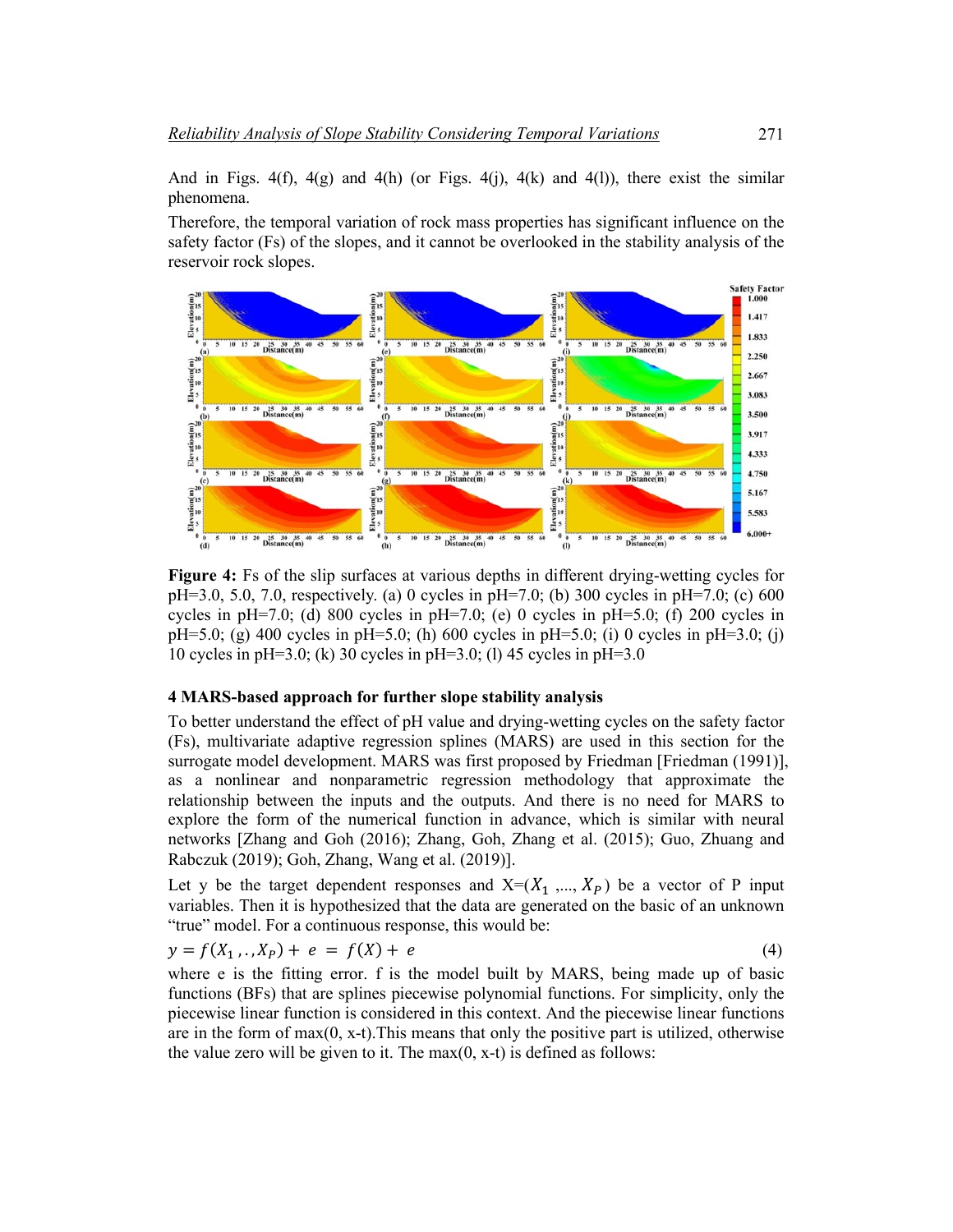And in Figs.  $4(f)$ ,  $4(g)$  and  $4(h)$  (or Figs.  $4(j)$ ,  $4(k)$  and  $4(l)$ ), there exist the similar phenomena.

Therefore, the temporal variation of rock mass properties has significant influence on the safety factor (Fs) of the slopes, and it cannot be overlooked in the stability analysis of the reservoir rock slopes.



**Figure 4:** Fs of the slip surfaces at various depths in different drying-wetting cycles for pH=3.0, 5.0, 7.0, respectively. (a) 0 cycles in pH=7.0; (b) 300 cycles in pH=7.0; (c) 600 cycles in pH=7.0; (d) 800 cycles in pH=7.0; (e) 0 cycles in pH=5.0; (f) 200 cycles in pH=5.0; (g) 400 cycles in pH=5.0; (h) 600 cycles in pH=5.0; (i) 0 cycles in pH=3.0; (j) 10 cycles in pH=3.0; (k) 30 cycles in pH=3.0; (l) 45 cycles in pH=3.0

# **4 MARS-based approach for further slope stability analysis**

To better understand the effect of pH value and drying-wetting cycles on the safety factor (Fs), multivariate adaptive regression splines (MARS) are used in this section for the surrogate model development. MARS was first proposed by Friedman [Friedman (1991)], as a nonlinear and nonparametric regression methodology that approximate the relationship between the inputs and the outputs. And there is no need for MARS to explore the form of the numerical function in advance, which is similar with neural networks [Zhang and Goh (2016); Zhang, Goh, Zhang et al. (2015); Guo, Zhuang and Rabczuk (2019); Goh, Zhang, Wang et al. (2019)].

Let y be the target dependent responses and  $X=(X_1, ..., X_p)$  be a vector of P input variables. Then it is hypothesized that the data are generated on the basic of an unknown "true" model. For a continuous response, this would be:

$$
y = f(X_1, ..., X_p) + e = f(X) + e
$$
 (4)

where e is the fitting error. f is the model built by MARS, being made up of basic functions (BFs) that are splines piecewise polynomial functions. For simplicity, only the piecewise linear function is considered in this context. And the piecewise linear functions are in the form of  $max(0, x-t)$ . This means that only the positive part is utilized, otherwise the value zero will be given to it. The  $max(0, x-t)$  is defined as follows: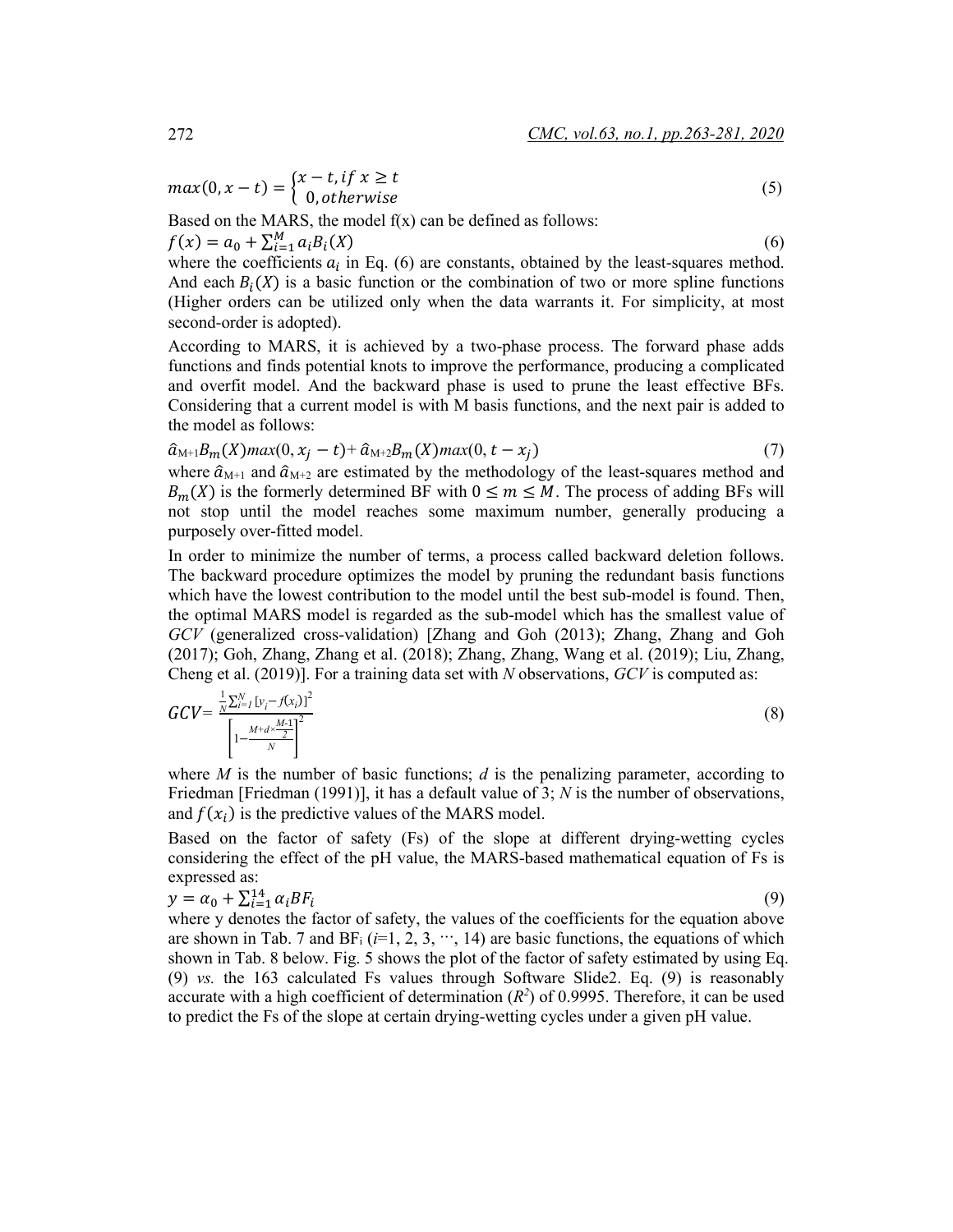$$
max(0, x - t) = \begin{cases} x - t, \text{if } x \ge t \\ 0, \text{otherwise} \end{cases}
$$
 (5)

Based on the MARS, the model  $f(x)$  can be defined as follows:

 $f(x) = a_0 + \sum_{i=1}^{M} a_i B_i(X)$  $\frac{M}{i=1} a_i B_i(X)$  (6) where the coefficients  $a_i$  in Eq. (6) are constants, obtained by the least-squares method. And each  $B_i(X)$  is a basic function or the combination of two or more spline functions

(Higher orders can be utilized only when the data warrants it. For simplicity, at most

second-order is adopted). According to MARS, it is achieved by a two-phase process. The forward phase adds functions and finds potential knots to improve the performance, producing a complicated and overfit model. And the backward phase is used to prune the least effective BFs. Considering that a current model is with M basis functions, and the next pair is added to the model as follows:

$$
\hat{a}_{M+1}B_m(X)max(0, x_j - t) + \hat{a}_{M+2}B_m(X)max(0, t - x_j)
$$
\n(7)

where  $\hat{a}_{M+1}$  and  $\hat{a}_{M+2}$  are estimated by the methodology of the least-squares method and  $B_m(X)$  is the formerly determined BF with  $0 \le m \le M$ . The process of adding BFs will not stop until the model reaches some maximum number, generally producing a purposely over-fitted model.

In order to minimize the number of terms, a process called backward deletion follows. The backward procedure optimizes the model by pruning the redundant basis functions which have the lowest contribution to the model until the best sub-model is found. Then, the optimal MARS model is regarded as the sub-model which has the smallest value of *GCV* (generalized cross-validation) [Zhang and Goh (2013); Zhang, Zhang and Goh (2017); Goh, Zhang, Zhang et al. (2018); Zhang, Zhang, Wang et al. (2019); Liu, Zhang, Cheng et al. (2019)]. For a training data set with *N* observations, *GCV* is computed as:

$$
GCV = \frac{\frac{1}{N} \sum_{i=1}^{N} \left[ y_i - f(x_i) \right]^2}{\left[ 1 - \frac{M + d \times \frac{M - 1}{2}}{N} \right]^2}
$$
\n(8)

where *M* is the number of basic functions; *d* is the penalizing parameter, according to Friedman [Friedman (1991)], it has a default value of 3; *N* is the number of observations, and  $f(x_i)$  is the predictive values of the MARS model.

Based on the factor of safety (Fs) of the slope at different drying-wetting cycles considering the effect of the pH value, the MARS-based mathematical equation of Fs is expressed as:

$$
y = \alpha_0 + \sum_{i=1}^{14} \alpha_i BF_i
$$
 (9)

where y denotes the factor of safety, the values of the coefficients for the equation above are shown in Tab. 7 and  $BF_i$  ( $i=1, 2, 3, \cdots, 14$ ) are basic functions, the equations of which shown in Tab. 8 below. Fig. 5 shows the plot of the factor of safety estimated by using Eq. (9) *vs.* the 163 calculated Fs values through Software Slide2. Eq. (9) is reasonably accurate with a high coefficient of determination  $(R^2)$  of 0.9995. Therefore, it can be used to predict the Fs of the slope at certain drying-wetting cycles under a given pH value.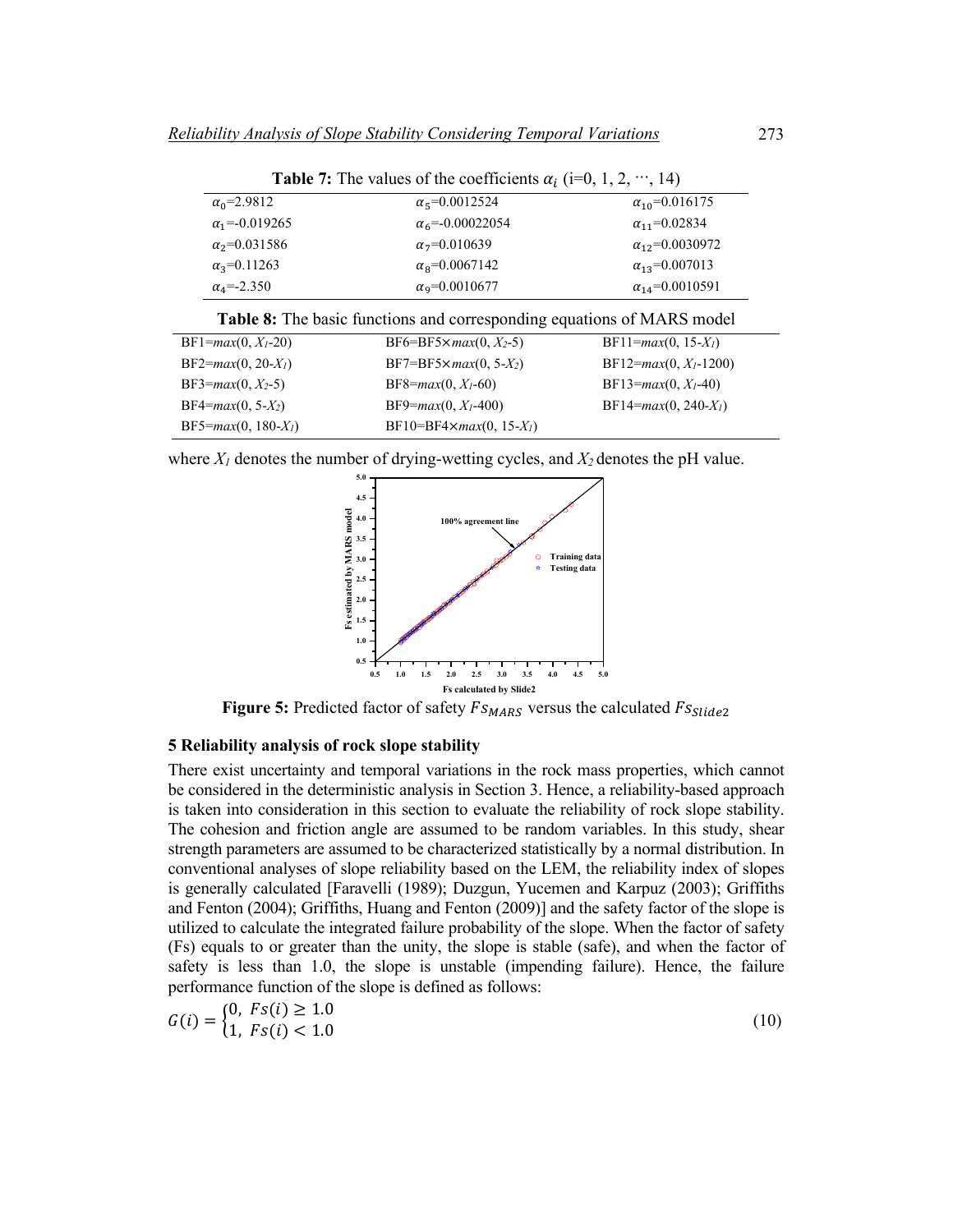| <b>Table 7:</b> The values of the coefficients $\alpha_i$ (i=0, 1, 2, , 14) |                                  |                           |  |  |  |
|-----------------------------------------------------------------------------|----------------------------------|---------------------------|--|--|--|
| $\alpha_0 = 2.9812$                                                         | $\alpha$ <sub>5</sub> =0.0012524 | $\alpha_{10} = 0.016175$  |  |  |  |
| $\alpha_1 = -0.019265$                                                      | $\alpha_6 = -0.00022054$         | $\alpha_{11} = 0.02834$   |  |  |  |
| $\alpha_2 = 0.031586$                                                       | $\alpha_7 = 0.010639$            | $\alpha_{12} = 0.0030972$ |  |  |  |
| $\alpha_3 = 0.11263$                                                        | $\alpha_8 = 0.0067142$           | $\alpha_{13} = 0.007013$  |  |  |  |
| $\alpha_4 = -2.350$                                                         | $\alpha$ <sub>9</sub> =0.0010677 | $\alpha_{14} = 0.0010591$ |  |  |  |
|                                                                             |                                  |                           |  |  |  |

|  |  |  |  |  |  |  |  | Table 8: The basic functions and corresponding equations of MARS model |
|--|--|--|--|--|--|--|--|------------------------------------------------------------------------|
|--|--|--|--|--|--|--|--|------------------------------------------------------------------------|

| $BF1 = max(0, Xl - 20)$ | $BF6 = BF5 \times max(0, X_2-5)$ | $BF11 = max(0, 15-Xl)$     |
|-------------------------|----------------------------------|----------------------------|
| $BF2 = max(0, 20-Xl)$   | $BF7 = BF5 \times max(0, 5-X_2)$ | $BF12 = max(0, Xl - 1200)$ |
| BF3= $max(0, X_2-5)$    | $BF8 = max(0, X1 - 60)$          | $BF13 = max(0, Xl - 40)$   |
| $BF4 = max(0, 5-X_2)$   | $BF9 = max(0, X1 - 400)$         | $BF14 = max(0, 240 - Xl)$  |
| $BF5 = max(0, 180-X_I)$ | $BF10=BF4\times max(0, 15-Xl)$   |                            |

where  $X_l$  denotes the number of drying-wetting cycles, and  $X_2$  denotes the pH value.



**Figure 5:** Predicted factor of safety  $Fs_{MARS}$  versus the calculated  $Fs_{Slide2}$ 

#### **5 Reliability analysis of rock slope stability**

There exist uncertainty and temporal variations in the rock mass properties, which cannot be considered in the deterministic analysis in Section 3. Hence, a reliability-based approach is taken into consideration in this section to evaluate the reliability of rock slope stability. The cohesion and friction angle are assumed to be random variables. In this study, shear strength parameters are assumed to be characterized statistically by a normal distribution. In conventional analyses of slope reliability based on the LEM, the reliability index of slopes is generally calculated [Faravelli (1989); Duzgun, Yucemen and Karpuz (2003); Griffiths and Fenton (2004); Griffiths, Huang and Fenton (2009)] and the safety factor of the slope is utilized to calculate the integrated failure probability of the slope. When the factor of safety (Fs) equals to or greater than the unity, the slope is stable (safe), and when the factor of safety is less than 1.0, the slope is unstable (impending failure). Hence, the failure performance function of the slope is defined as follows:

$$
G(i) = \begin{cases} 0, \ Fs(i) \ge 1.0 \\ 1, \ Fs(i) < 1.0 \end{cases} \tag{10}
$$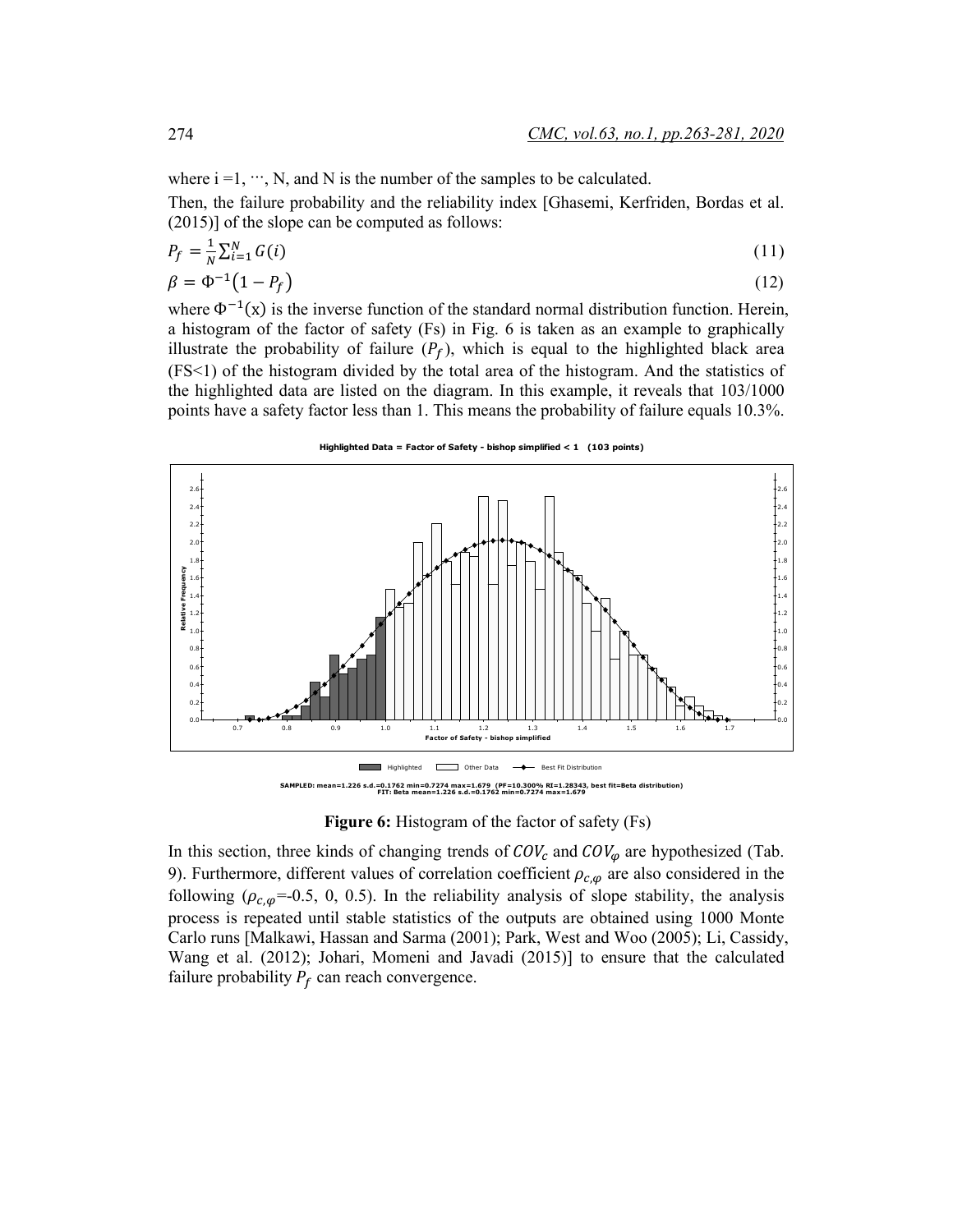where  $i = 1, \dots, N$ , and N is the number of the samples to be calculated.

Then, the failure probability and the reliability index [Ghasemi, Kerfriden, Bordas et al. (2015)] of the slope can be computed as follows:

$$
P_f = \frac{1}{N} \sum_{i=1}^{N} G(i)
$$
\n(11)

$$
\beta = \Phi^{-1}(1 - P_f) \tag{12}
$$

where  $\Phi^{-1}(x)$  is the inverse function of the standard normal distribution function. Herein, a histogram of the factor of safety (Fs) in Fig. 6 is taken as an example to graphically illustrate the probability of failure  $(P_f)$ , which is equal to the highlighted black area (FS<1) of the histogram divided by the total area of the histogram. And the statistics of the highlighted data are listed on the diagram. In this example, it reveals that 103/1000 points have a safety factor less than 1. This means the probability of failure equals 10.3%.

#### **Highlighted Data = Factor of Safety - bishop simplified < 1 (103 points)**



**Figure 6:** Histogram of the factor of safety (Fs)

In this section, three kinds of changing trends of  $COV_c$  and  $COV_\varphi$  are hypothesized (Tab. 9). Furthermore, different values of correlation coefficient  $\rho_{c,\varphi}$  are also considered in the following ( $\rho_{c,\varphi}$ =-0.5, 0, 0.5). In the reliability analysis of slope stability, the analysis process is repeated until stable statistics of the outputs are obtained using 1000 Monte Carlo runs [Malkawi, Hassan and Sarma (2001); Park, West and Woo (2005); Li, Cassidy, Wang et al. (2012); Johari, Momeni and Javadi (2015)] to ensure that the calculated failure probability  $P_f$  can reach convergence.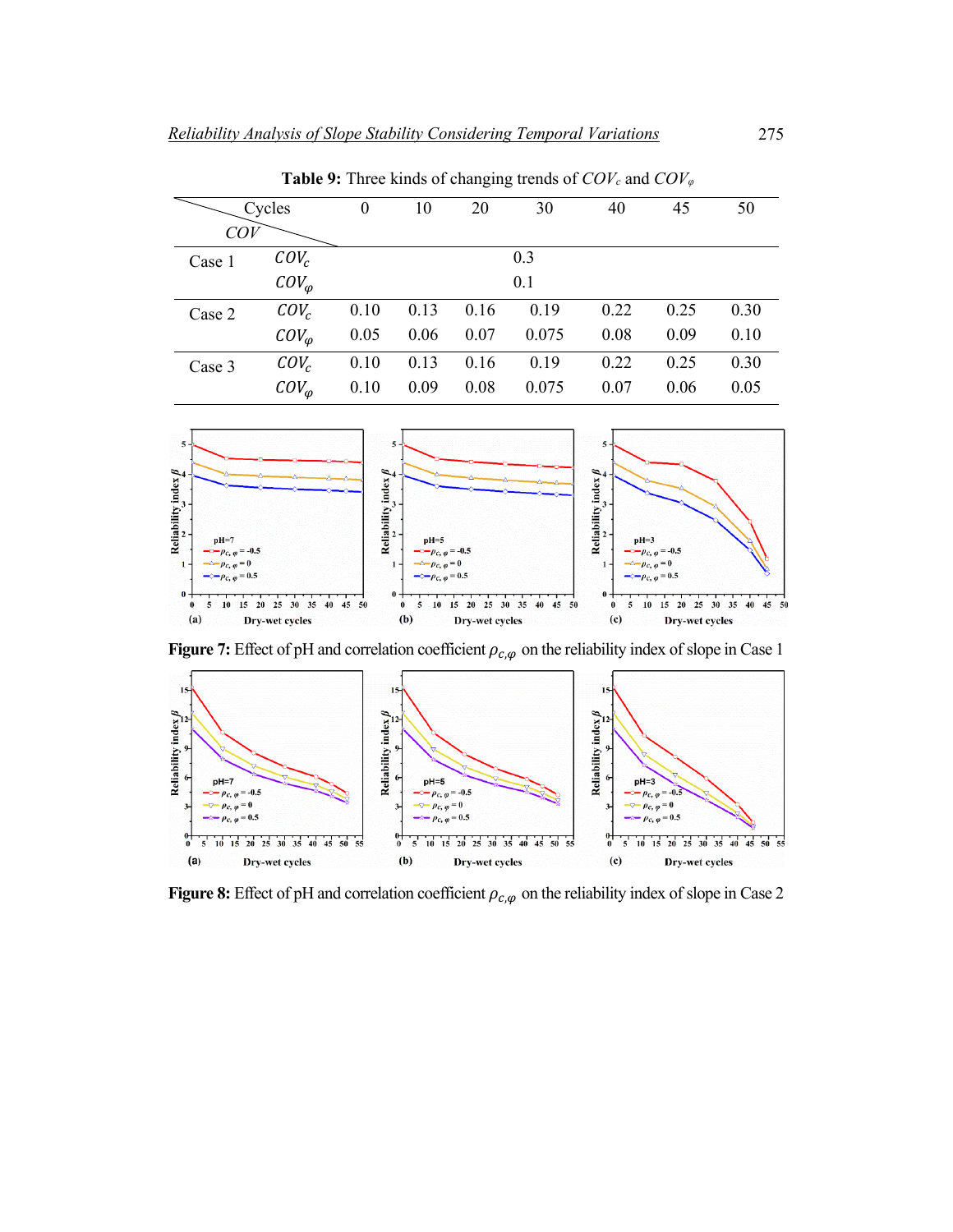**Table 9:** Three kinds of changing trends of *COVc* and *COV<sup>φ</sup>*

| Cycles |                 | $\boldsymbol{0}$ | 10   | 20   | 30    | 40   | 45   | 50   |
|--------|-----------------|------------------|------|------|-------|------|------|------|
| COV    |                 |                  |      |      |       |      |      |      |
| Case 1 | $COV_c$         | 0.3              |      |      |       |      |      |      |
|        | $COV_{\varphi}$ | 0.1              |      |      |       |      |      |      |
| Case 2 | $COV_c$         | 0.10             | 0.13 | 0.16 | 0.19  | 0.22 | 0.25 | 0.30 |
|        | $COV_{\omega}$  | 0.05             | 0.06 | 0.07 | 0.075 | 0.08 | 0.09 | 0.10 |
| Case 3 | $COV_c$         | 0.10             | 0.13 | 0.16 | 0.19  | 0.22 | 0.25 | 0.30 |
|        | $COV_{\varphi}$ | 0.10             | 0.09 | 0.08 | 0.075 | 0.07 | 0.06 | 0.05 |



**Figure 7:** Effect of pH and correlation coefficient  $\rho_{c,\varphi}$  on the reliability index of slope in Case 1



**Figure 8:** Effect of pH and correlation coefficient  $\rho_{c,\varphi}$  on the reliability index of slope in Case 2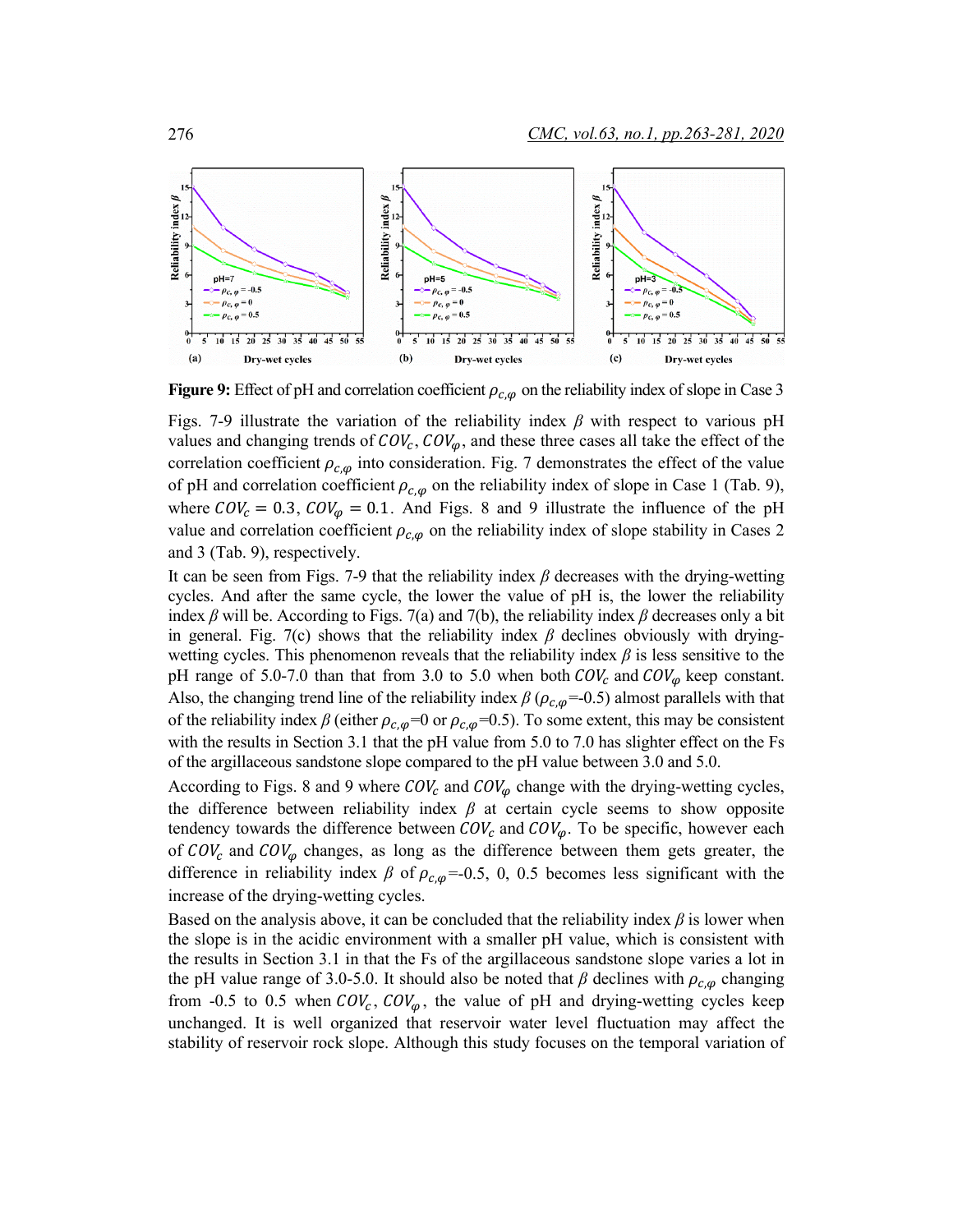

**Figure 9:** Effect of pH and correlation coefficient  $\rho_{c,\varphi}$  on the reliability index of slope in Case 3

Figs. 7-9 illustrate the variation of the reliability index *β* with respect to various pH values and changing trends of  $COV_c$ ,  $COV_\varphi$ , and these three cases all take the effect of the correlation coefficient  $\rho_{c,\varphi}$  into consideration. Fig. 7 demonstrates the effect of the value of pH and correlation coefficient  $\rho_{c,\varphi}$  on the reliability index of slope in Case 1 (Tab. 9), where  $COV_c = 0.3$ ,  $COV_\varphi = 0.1$ . And Figs. 8 and 9 illustrate the influence of the pH value and correlation coefficient  $\rho_{c,\omega}$  on the reliability index of slope stability in Cases 2 and 3 (Tab. 9), respectively.

It can be seen from Figs. 7-9 that the reliability index  $\beta$  decreases with the drying-wetting cycles. And after the same cycle, the lower the value of pH is, the lower the reliability index  $\beta$  will be. According to Figs. 7(a) and 7(b), the reliability index  $\beta$  decreases only a bit in general. Fig. 7(c) shows that the reliability index  $\beta$  declines obviously with dryingwetting cycles. This phenomenon reveals that the reliability index *β* is less sensitive to the pH range of 5.0-7.0 than that from 3.0 to 5.0 when both  $COV_c$  and  $COV_\omega$  keep constant. Also, the changing trend line of the reliability index  $\beta$  ( $\rho_{c,\varphi}$ =-0.5) almost parallels with that of the reliability index  $\beta$  (either  $\rho_{c,\varphi}=0$  or  $\rho_{c,\varphi}=0.5$ ). To some extent, this may be consistent with the results in Section 3.1 that the pH value from 5.0 to 7.0 has slighter effect on the Fs of the argillaceous sandstone slope compared to the pH value between 3.0 and 5.0.

According to Figs. 8 and 9 where  $COV_c$  and  $COV_\omega$  change with the drying-wetting cycles, the difference between reliability index  $\beta$  at certain cycle seems to show opposite tendency towards the difference between  $COV_c$  and  $COV_{\omega}$ . To be specific, however each of  $COV_c$  and  $COV_\varphi$  changes, as long as the difference between them gets greater, the difference in reliability index  $\beta$  of  $\rho_{c,\varphi}$ =-0.5, 0, 0.5 becomes less significant with the increase of the drying-wetting cycles.

Based on the analysis above, it can be concluded that the reliability index *β* is lower when the slope is in the acidic environment with a smaller pH value, which is consistent with the results in Section 3.1 in that the Fs of the argillaceous sandstone slope varies a lot in the pH value range of 3.0-5.0. It should also be noted that  $\beta$  declines with  $\rho_{c,\varphi}$  changing from -0.5 to 0.5 when  $COV_c$ ,  $COV_\omega$ , the value of pH and drying-wetting cycles keep unchanged. It is well organized that reservoir water level fluctuation may affect the stability of reservoir rock slope. Although this study focuses on the temporal variation of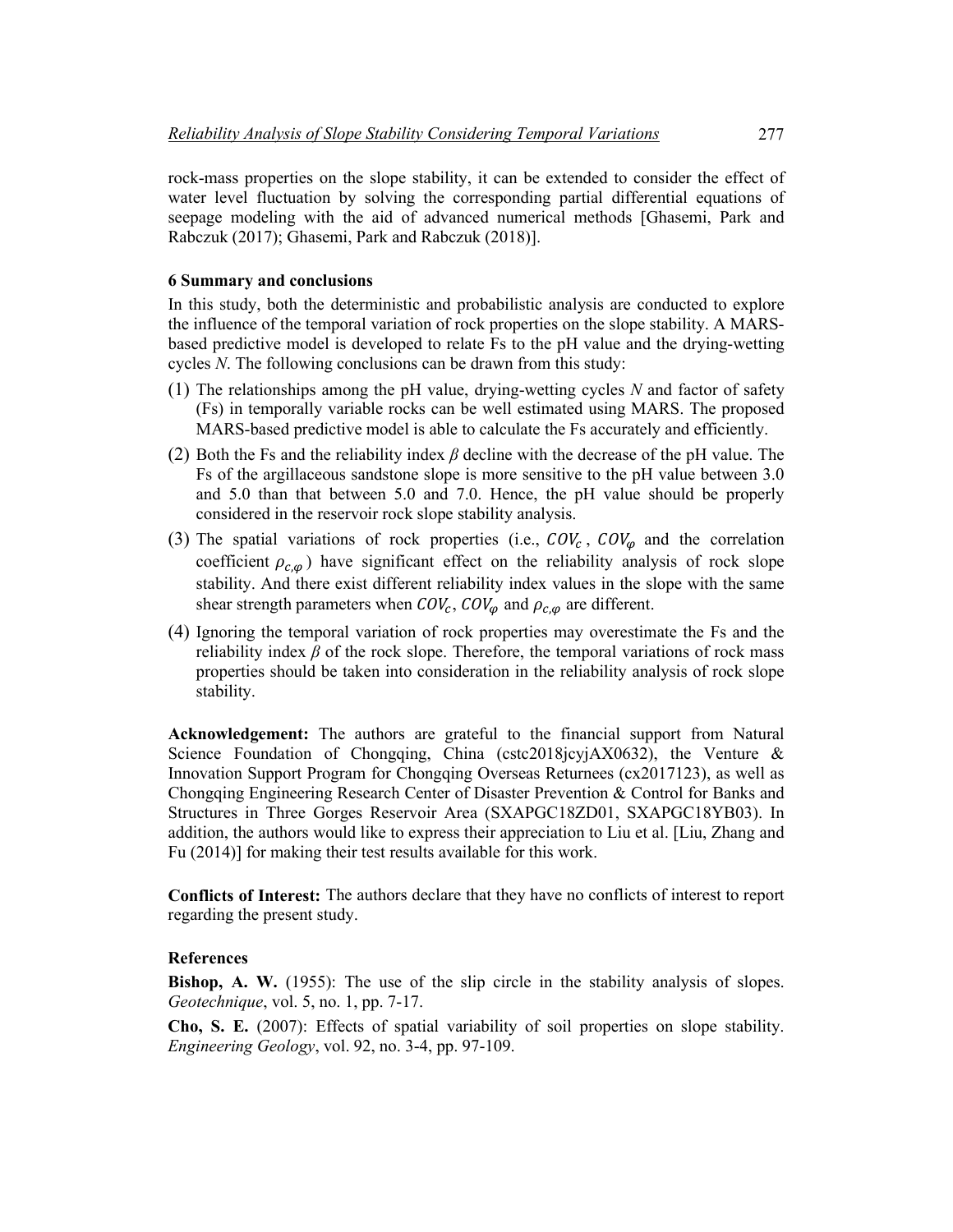rock-mass properties on the slope stability, it can be extended to consider the effect of water level fluctuation by solving the corresponding partial differential equations of seepage modeling with the aid of advanced numerical methods [Ghasemi, Park and Rabczuk (2017); Ghasemi, Park and Rabczuk (2018)].

#### **6 Summary and conclusions**

In this study, both the deterministic and probabilistic analysis are conducted to explore the influence of the temporal variation of rock properties on the slope stability. A MARSbased predictive model is developed to relate Fs to the pH value and the drying-wetting cycles *N*. The following conclusions can be drawn from this study:

- (1) The relationships among the pH value, drying-wetting cycles *N* and factor of safety (Fs) in temporally variable rocks can be well estimated using MARS. The proposed MARS-based predictive model is able to calculate the Fs accurately and efficiently.
- (2) Both the Fs and the reliability index *β* decline with the decrease of the pH value. The Fs of the argillaceous sandstone slope is more sensitive to the pH value between 3.0 and 5.0 than that between 5.0 and 7.0. Hence, the pH value should be properly considered in the reservoir rock slope stability analysis.
- (3) The spatial variations of rock properties (i.e.,  $COV_c$ ,  $COV_\omega$  and the correlation coefficient  $\rho_{c,\varphi}$ ) have significant effect on the reliability analysis of rock slope stability. And there exist different reliability index values in the slope with the same shear strength parameters when  $COV_c$ ,  $COV_{\omega}$  and  $\rho_{c,\omega}$  are different.
- (4) Ignoring the temporal variation of rock properties may overestimate the Fs and the reliability index *β* of the rock slope. Therefore, the temporal variations of rock mass properties should be taken into consideration in the reliability analysis of rock slope stability.

**Acknowledgement:** The authors are grateful to the financial support from Natural Science Foundation of Chongqing, China (cstc2018) cyjAX0632), the Venture & Innovation Support Program for Chongqing Overseas Returnees (cx2017123), as well as Chongqing Engineering Research Center of Disaster Prevention & Control for Banks and Structures in Three Gorges Reservoir Area (SXAPGC18ZD01, SXAPGC18YB03). In addition, the authors would like to express their appreciation to Liu et al. [Liu, Zhang and Fu (2014)] for making their test results available for this work.

**Conflicts of Interest:** The authors declare that they have no conflicts of interest to report regarding the present study.

# **References**

**Bishop, A. W.** (1955): The use of the slip circle in the stability analysis of slopes. *Geotechnique*, vol. 5, no. 1, pp. 7-17.

**Cho, S. E.** (2007): Effects of spatial variability of soil properties on slope stability. *Engineering Geology*, vol. 92, no. 3-4, pp. 97-109.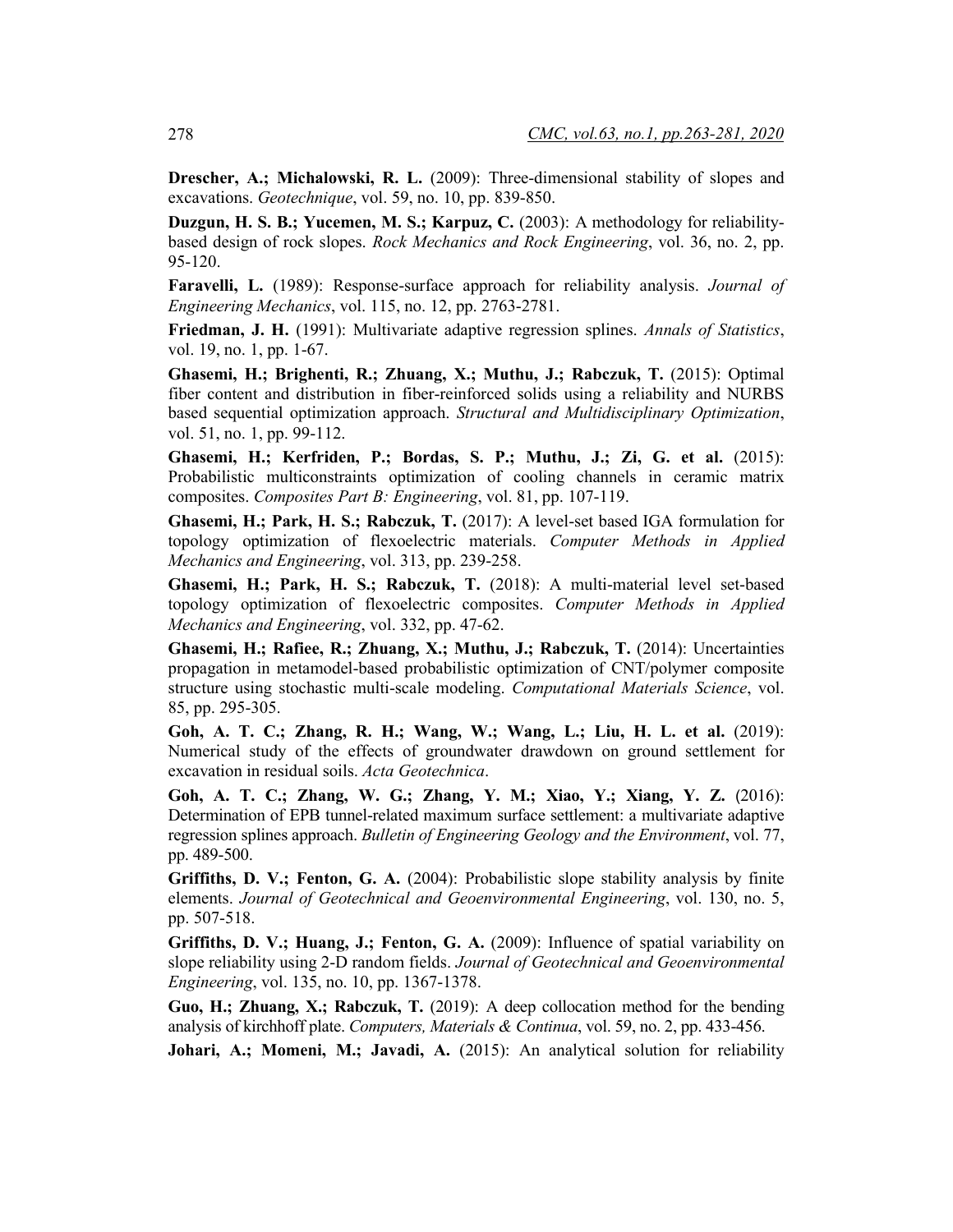**Drescher, A.; Michalowski, R. L.** (2009): Three-dimensional stability of slopes and excavations. *Geotechnique*, vol. 59, no. 10, pp. 839-850.

**Duzgun, H. S. B.; Yucemen, M. S.; Karpuz, C.** (2003): A methodology for reliabilitybased design of rock slopes. *Rock Mechanics and Rock Engineering*, vol. 36, no. 2, pp. 95-120.

**Faravelli, L.** (1989): Response-surface approach for reliability analysis. *Journal of Engineering Mechanics*, vol. 115, no. 12, pp. 2763-2781.

**Friedman, J. H.** (1991): Multivariate adaptive regression splines. *Annals of Statistics*, vol. 19, no. 1, pp. 1-67.

**Ghasemi, H.; Brighenti, R.; Zhuang, X.; Muthu, J.; Rabczuk, T.** (2015): Optimal fiber content and distribution in fiber-reinforced solids using a reliability and NURBS based sequential optimization approach. *Structural and Multidisciplinary Optimization*, vol. 51, no. 1, pp. 99-112.

**Ghasemi, H.; Kerfriden, P.; Bordas, S. P.; Muthu, J.; Zi, G. et al.** (2015): Probabilistic multiconstraints optimization of cooling channels in ceramic matrix composites. *Composites Part B: Engineering*, vol. 81, pp. 107-119.

**Ghasemi, H.; Park, H. S.; Rabczuk, T.** (2017): A level-set based IGA formulation for topology optimization of flexoelectric materials. *Computer Methods in Applied Mechanics and Engineering*, vol. 313, pp. 239-258.

**Ghasemi, H.; Park, H. S.; Rabczuk, T.** (2018): A multi-material level set-based topology optimization of flexoelectric composites. *Computer Methods in Applied Mechanics and Engineering*, vol. 332, pp. 47-62.

**Ghasemi, H.; Rafiee, R.; Zhuang, X.; Muthu, J.; Rabczuk, T.** (2014): Uncertainties propagation in metamodel-based probabilistic optimization of CNT/polymer composite structure using stochastic multi-scale modeling. *Computational Materials Science*, vol. 85, pp. 295-305.

**Goh, A. T. C.; Zhang, R. H.; Wang, W.; Wang, L.; Liu, H. L. et al.** (2019): Numerical study of the effects of groundwater drawdown on ground settlement for excavation in residual soils. *Acta Geotechnica*.

**Goh, A. T. C.; Zhang, W. G.; Zhang, Y. M.; Xiao, Y.; Xiang, Y. Z.** (2016): Determination of EPB tunnel-related maximum surface settlement: a multivariate adaptive regression splines approach. *Bulletin of Engineering Geology and the Environment*, vol. 77, pp. 489-500.

**Griffiths, D. V.; Fenton, G. A.** (2004): Probabilistic slope stability analysis by finite elements. *Journal of Geotechnical and Geoenvironmental Engineering*, vol. 130, no. 5, pp. 507-518.

**Griffiths, D. V.; Huang, J.; Fenton, G. A.** (2009): Influence of spatial variability on slope reliability using 2-D random fields. *Journal of Geotechnical and Geoenvironmental Engineering*, vol. 135, no. 10, pp. 1367-1378.

**Guo, H.; Zhuang, X.; Rabczuk, T.** (2019): A deep collocation method for the bending analysis of kirchhoff plate. *Computers, Materials & Continua*, vol. 59, no. 2, pp. 433-456.

**Johari, A.; Momeni, M.; Javadi, A.** (2015): An analytical solution for reliability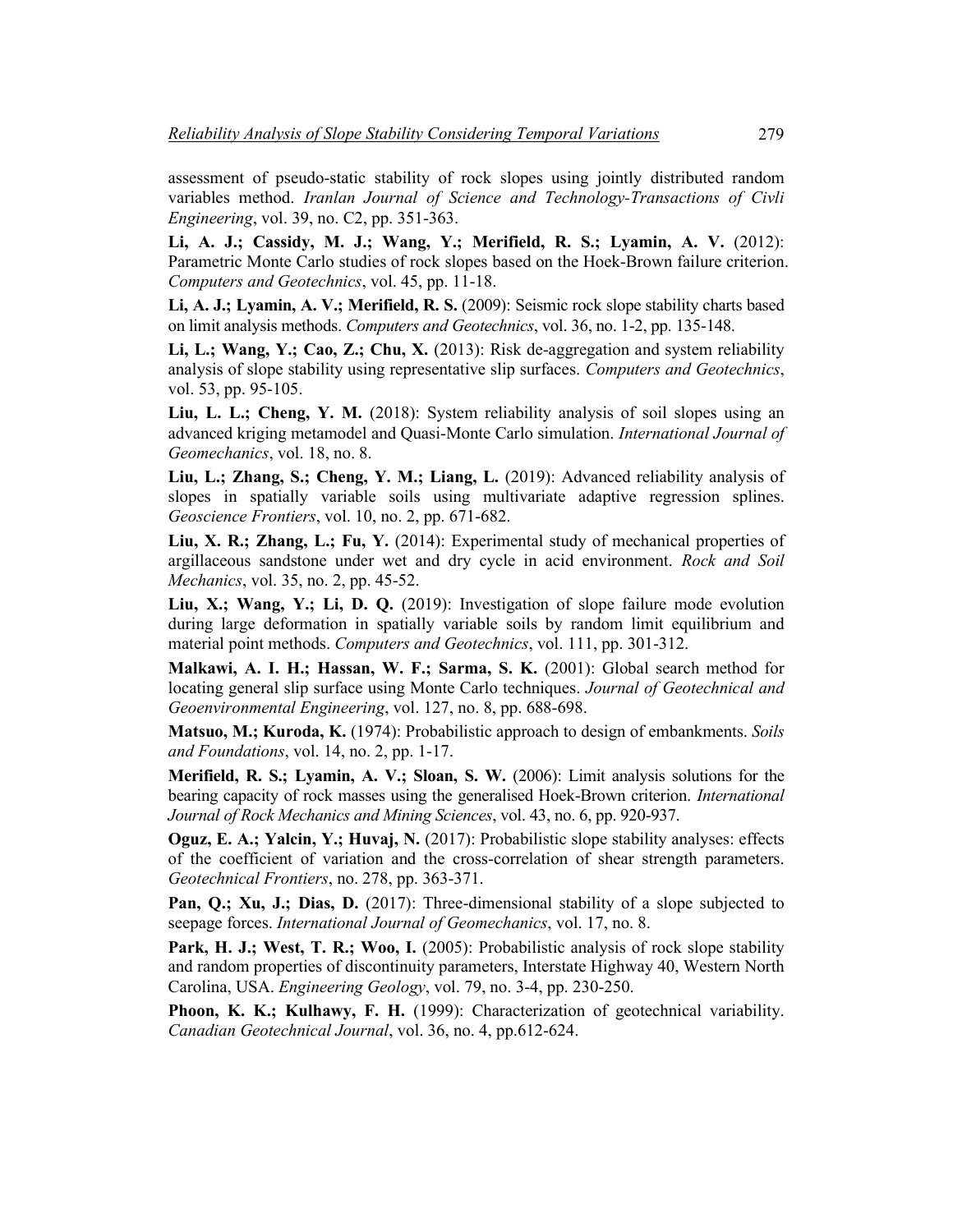assessment of pseudo-static stability of rock slopes using jointly distributed random variables method. *Iranlan Journal of Science and Technology-Transactions of Civli Engineering*, vol. 39, no. C2, pp. 351-363.

**Li, A. J.; Cassidy, M. J.; Wang, Y.; Merifield, R. S.; Lyamin, A. V.** (2012): Parametric Monte Carlo studies of rock slopes based on the Hoek-Brown failure criterion. *Computers and Geotechnics*, vol. 45, pp. 11-18.

**Li, A. J.; Lyamin, A. V.; Merifield, R. S.** (2009): Seismic rock slope stability charts based on limit analysis methods. *Computers and Geotechnics*, vol. 36, no. 1-2, pp. 135-148.

**Li, L.; Wang, Y.; Cao, Z.; Chu, X.** (2013): Risk de-aggregation and system reliability analysis of slope stability using representative slip surfaces. *Computers and Geotechnics*, vol. 53, pp. 95-105.

Liu, L. L.; Cheng, Y. M. (2018): System reliability analysis of soil slopes using an advanced kriging metamodel and Quasi-Monte Carlo simulation. *International Journal of Geomechanics*, vol. 18, no. 8.

**Liu, L.; Zhang, S.; Cheng, Y. M.; Liang, L.** (2019): Advanced reliability analysis of slopes in spatially variable soils using multivariate adaptive regression splines. *Geoscience Frontiers*, vol. 10, no. 2, pp. 671-682.

**Liu, X. R.; Zhang, L.; Fu, Y.** (2014): Experimental study of mechanical properties of argillaceous sandstone under wet and dry cycle in acid environment. *Rock and Soil Mechanics*, vol. 35, no. 2, pp. 45-52.

**Liu, X.; Wang, Y.; Li, D. Q.** (2019): Investigation of slope failure mode evolution during large deformation in spatially variable soils by random limit equilibrium and material point methods. *Computers and Geotechnics*, vol. 111, pp. 301-312.

**Malkawi, A. I. H.; Hassan, W. F.; Sarma, S. K.** (2001): Global search method for locating general slip surface using Monte Carlo techniques. *Journal of Geotechnical and Geoenvironmental Engineering*, vol. 127, no. 8, pp. 688-698.

**Matsuo, M.; Kuroda, K.** (1974): Probabilistic approach to design of embankments. *Soils and Foundations*, vol. 14, no. 2, pp. 1-17.

**Merifield, R. S.; Lyamin, A. V.; Sloan, S. W.** (2006): Limit analysis solutions for the bearing capacity of rock masses using the generalised Hoek-Brown criterion. *International Journal of Rock Mechanics and Mining Sciences*, vol. 43, no. 6, pp. 920-937.

**Oguz, E. A.; Yalcin, Y.; Huvaj, N.** (2017): Probabilistic slope stability analyses: effects of the coefficient of variation and the cross-correlation of shear strength parameters. *Geotechnical Frontiers*, no. 278, pp. 363-371.

**Pan, Q.; Xu, J.; Dias, D.** (2017): Three-dimensional stability of a slope subjected to seepage forces. *International Journal of Geomechanics*, vol. 17, no. 8.

**Park, H. J.; West, T. R.; Woo, I.** (2005): Probabilistic analysis of rock slope stability and random properties of discontinuity parameters, Interstate Highway 40, Western North Carolina, USA. *Engineering Geology*, vol. 79, no. 3-4, pp. 230-250.

**Phoon, K. K.; Kulhawy, F. H.** (1999): Characterization of geotechnical variability. *Canadian Geotechnical Journal*, vol. 36, no. 4, pp.612-624.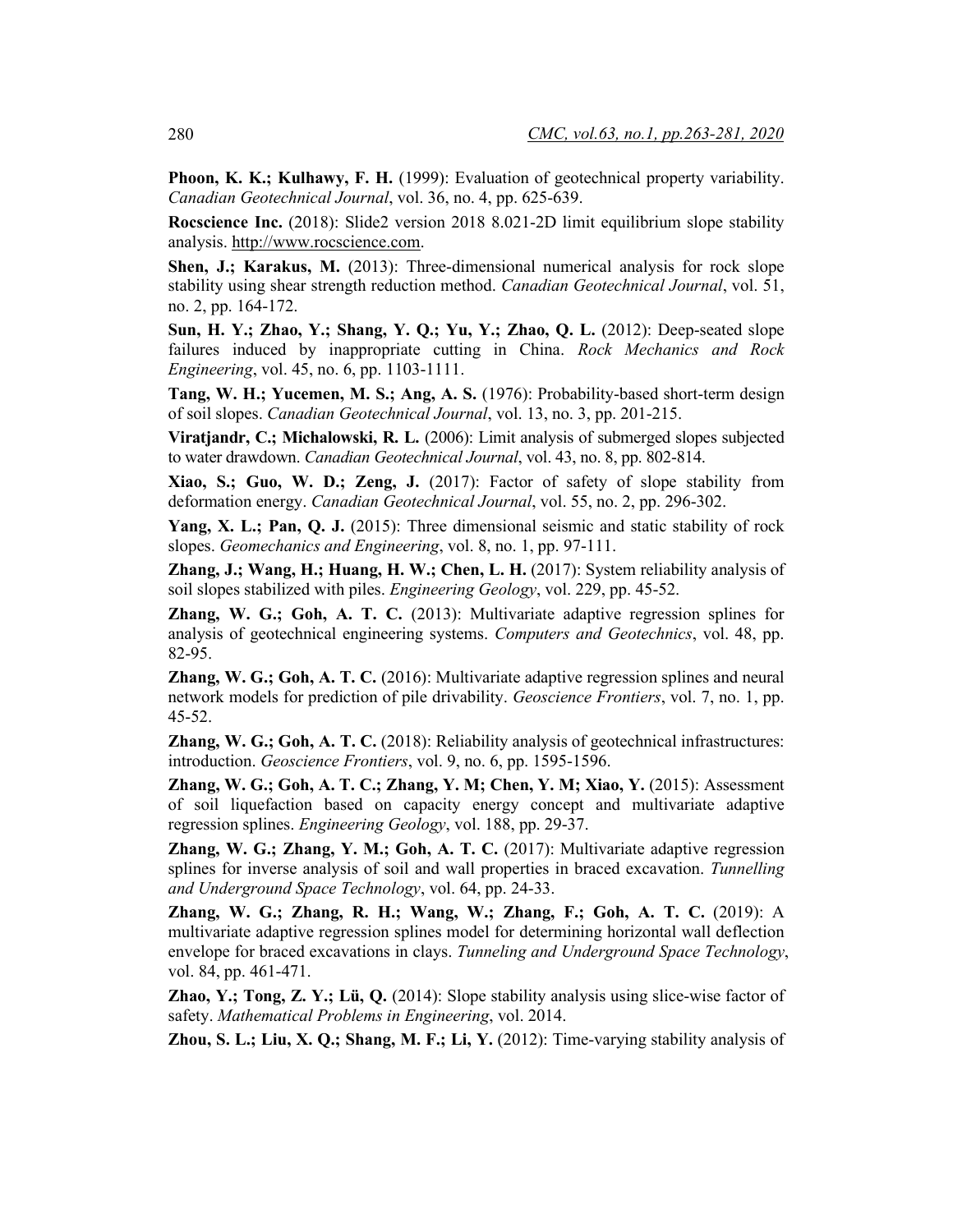**Phoon, K. K.; Kulhawy, F. H.** (1999): Evaluation of geotechnical property variability. *Canadian Geotechnical Journal*, vol. 36, no. 4, pp. 625-639.

**Rocscience Inc.** (2018): Slide2 version 2018 8.021-2D limit equilibrium slope stability analysis. http://www.rocscience.com.

**Shen, J.; Karakus, M.** (2013): Three-dimensional numerical analysis for rock slope stability using shear strength reduction method. *Canadian Geotechnical Journal*, vol. 51, no. 2, pp. 164-172.

**Sun, H. Y.; Zhao, Y.; Shang, Y. Q.; Yu, Y.; Zhao, Q. L.** (2012): Deep-seated slope failures induced by inappropriate cutting in China. *Rock Mechanics and Rock Engineering*, vol. 45, no. 6, pp. 1103-1111.

**Tang, W. H.; Yucemen, M. S.; Ang, A. S.** (1976): Probability-based short-term design of soil slopes. *Canadian Geotechnical Journal*, vol. 13, no. 3, pp. 201-215.

**Viratjandr, C.; Michalowski, R. L.** (2006): Limit analysis of submerged slopes subjected to water drawdown. *Canadian Geotechnical Journal*, vol. 43, no. 8, pp. 802-814.

**Xiao, S.; Guo, W. D.; Zeng, J.** (2017): Factor of safety of slope stability from deformation energy. *Canadian Geotechnical Journal*, vol. 55, no. 2, pp. 296-302.

**Yang, X. L.; Pan, Q. J.** (2015): Three dimensional seismic and static stability of rock slopes. *Geomechanics and Engineering*, vol. 8, no. 1, pp. 97-111.

**Zhang, J.; Wang, H.; Huang, H. W.; Chen, L. H.** (2017): System reliability analysis of soil slopes stabilized with piles. *Engineering Geology*, vol. 229, pp. 45-52.

**Zhang, W. G.; Goh, A. T. C.** (2013): Multivariate adaptive regression splines for analysis of geotechnical engineering systems. *Computers and Geotechnics*, vol. 48, pp. 82-95.

**Zhang, W. G.; Goh, A. T. C.** (2016): Multivariate adaptive regression splines and neural network models for prediction of pile drivability. *Geoscience Frontiers*, vol. 7, no. 1, pp. 45-52.

**Zhang, W. G.; Goh, A. T. C.** (2018): Reliability analysis of geotechnical infrastructures: introduction. *Geoscience Frontiers*, vol. 9, no. 6, pp. 1595-1596.

**Zhang, W. G.; Goh, A. T. C.; Zhang, Y. M; Chen, Y. M; Xiao, Y.** (2015): Assessment of soil liquefaction based on capacity energy concept and multivariate adaptive regression splines. *Engineering Geology*, vol. 188, pp. 29-37.

**Zhang, W. G.; Zhang, Y. M.; Goh, A. T. C.** (2017): Multivariate adaptive regression splines for inverse analysis of soil and wall properties in braced excavation. *Tunnelling and Underground Space Technology*, vol. 64, pp. 24-33.

**Zhang, W. G.; Zhang, R. H.; Wang, W.; Zhang, F.; Goh, A. T. C.** (2019): A multivariate adaptive regression splines model for determining horizontal wall deflection envelope for braced excavations in clays. *Tunneling and Underground Space Technology*, vol. 84, pp. 461-471.

**Zhao, Y.; Tong, Z. Y.; Lü, Q.** (2014): Slope stability analysis using slice-wise factor of safety. *Mathematical Problems in Engineering*, vol. 2014.

**Zhou, S. L.; Liu, X. Q.; Shang, M. F.; Li, Y.** (2012): Time-varying stability analysis of